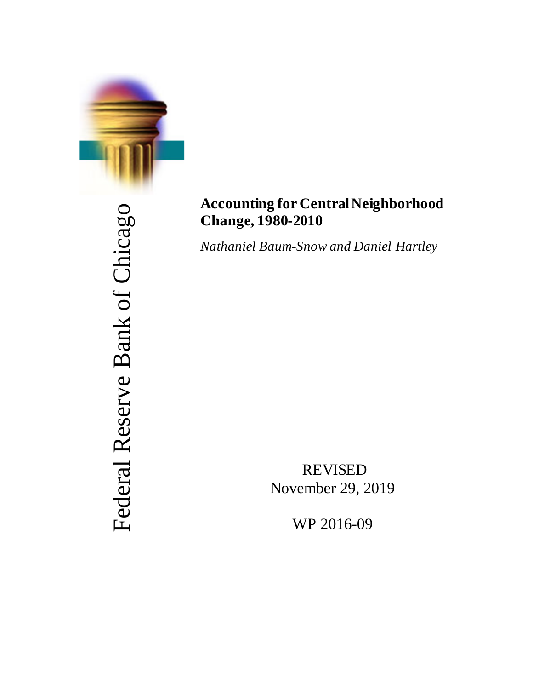

# Federal Reserve Bank of Chicago Federal Reserve Bank of Chicago

# **Accounting for Central Neighborhood Change, 1980-2010**

*Nathaniel Baum-Snow and Daniel Hartley*

REVISED November 29, 2019

WP 2016-09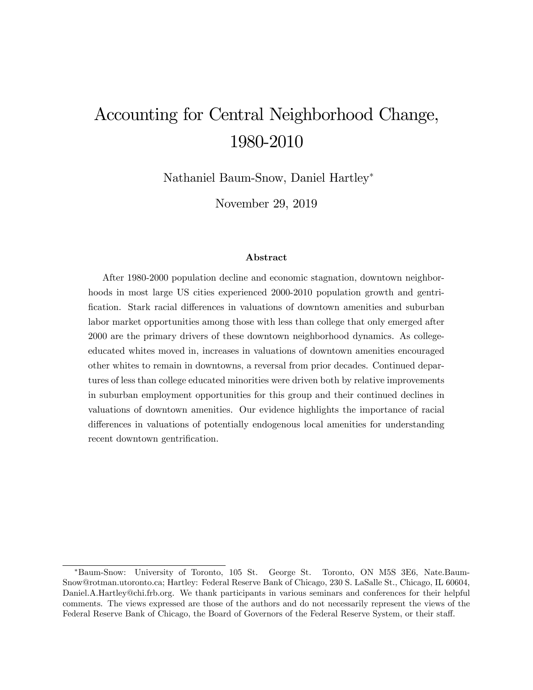# Accounting for Central Neighborhood Change, 1980-2010

Nathaniel Baum-Snow, Daniel Hartley

November 29, 2019

#### Abstract

After 1980-2000 population decline and economic stagnation, downtown neighborhoods in most large US cities experienced 2000-2010 population growth and gentrification. Stark racial differences in valuations of downtown amenities and suburban labor market opportunities among those with less than college that only emerged after 2000 are the primary drivers of these downtown neighborhood dynamics. As collegeeducated whites moved in, increases in valuations of downtown amenities encouraged other whites to remain in downtowns, a reversal from prior decades. Continued departures of less than college educated minorities were driven both by relative improvements in suburban employment opportunities for this group and their continued declines in valuations of downtown amenities. Our evidence highlights the importance of racial differences in valuations of potentially endogenous local amenities for understanding recent downtown gentrification.

Baum-Snow: University of Toronto, 105 St. George St. Toronto, ON M5S 3E6, Nate.Baum-Snow@rotman.utoronto.ca; Hartley: Federal Reserve Bank of Chicago, 230 S. LaSalle St., Chicago, IL 60604, Daniel.A.Hartley@chi.frb.org. We thank participants in various seminars and conferences for their helpful comments. The views expressed are those of the authors and do not necessarily represent the views of the Federal Reserve Bank of Chicago, the Board of Governors of the Federal Reserve System, or their staff.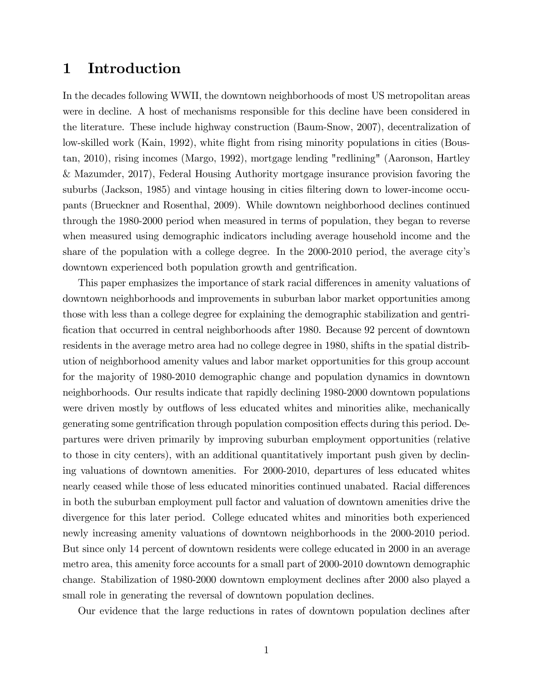# 1 Introduction

In the decades following WWII, the downtown neighborhoods of most US metropolitan areas were in decline. A host of mechanisms responsible for this decline have been considered in the literature. These include highway construction (Baum-Snow, 2007), decentralization of low-skilled work (Kain, 1992), white flight from rising minority populations in cities (Boustan, 2010), rising incomes (Margo, 1992), mortgage lending "redlining" (Aaronson, Hartley & Mazumder, 2017), Federal Housing Authority mortgage insurance provision favoring the suburbs (Jackson, 1985) and vintage housing in cities filtering down to lower-income occupants (Brueckner and Rosenthal, 2009). While downtown neighborhood declines continued through the 1980-2000 period when measured in terms of population, they began to reverse when measured using demographic indicators including average household income and the share of the population with a college degree. In the 2000-2010 period, the average cityís downtown experienced both population growth and gentrification.

This paper emphasizes the importance of stark racial differences in amenity valuations of downtown neighborhoods and improvements in suburban labor market opportunities among those with less than a college degree for explaining the demographic stabilization and gentri-Öcation that occurred in central neighborhoods after 1980. Because 92 percent of downtown residents in the average metro area had no college degree in 1980, shifts in the spatial distribution of neighborhood amenity values and labor market opportunities for this group account for the majority of 1980-2010 demographic change and population dynamics in downtown neighborhoods. Our results indicate that rapidly declining 1980-2000 downtown populations were driven mostly by outflows of less educated whites and minorities alike, mechanically generating some gentrification through population composition effects during this period. Departures were driven primarily by improving suburban employment opportunities (relative to those in city centers), with an additional quantitatively important push given by declining valuations of downtown amenities. For 2000-2010, departures of less educated whites nearly ceased while those of less educated minorities continued unabated. Racial differences in both the suburban employment pull factor and valuation of downtown amenities drive the divergence for this later period. College educated whites and minorities both experienced newly increasing amenity valuations of downtown neighborhoods in the 2000-2010 period. But since only 14 percent of downtown residents were college educated in 2000 in an average metro area, this amenity force accounts for a small part of 2000-2010 downtown demographic change. Stabilization of 1980-2000 downtown employment declines after 2000 also played a small role in generating the reversal of downtown population declines.

Our evidence that the large reductions in rates of downtown population declines after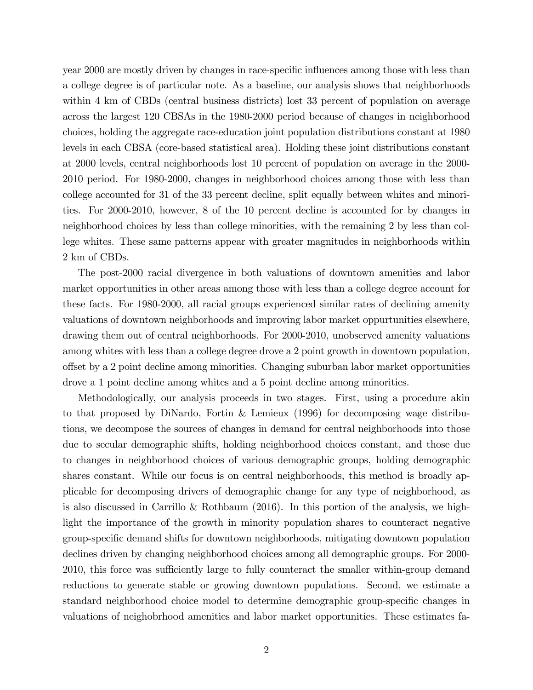year 2000 are mostly driven by changes in race-specific influences among those with less than a college degree is of particular note. As a baseline, our analysis shows that neighborhoods within 4 km of CBDs (central business districts) lost 33 percent of population on average across the largest 120 CBSAs in the 1980-2000 period because of changes in neighborhood choices, holding the aggregate race-education joint population distributions constant at 1980 levels in each CBSA (core-based statistical area). Holding these joint distributions constant at 2000 levels, central neighborhoods lost 10 percent of population on average in the 2000- 2010 period. For 1980-2000, changes in neighborhood choices among those with less than college accounted for 31 of the 33 percent decline, split equally between whites and minorities. For 2000-2010, however, 8 of the 10 percent decline is accounted for by changes in neighborhood choices by less than college minorities, with the remaining 2 by less than college whites. These same patterns appear with greater magnitudes in neighborhoods within 2 km of CBDs.

The post-2000 racial divergence in both valuations of downtown amenities and labor market opportunities in other areas among those with less than a college degree account for these facts. For 1980-2000, all racial groups experienced similar rates of declining amenity valuations of downtown neighborhoods and improving labor market oppurtunities elsewhere, drawing them out of central neighborhoods. For 2000-2010, unobserved amenity valuations among whites with less than a college degree drove a 2 point growth in downtown population, o§set by a 2 point decline among minorities. Changing suburban labor market opportunities drove a 1 point decline among whites and a 5 point decline among minorities.

Methodologically, our analysis proceeds in two stages. First, using a procedure akin to that proposed by DiNardo, Fortin & Lemieux (1996) for decomposing wage distributions, we decompose the sources of changes in demand for central neighborhoods into those due to secular demographic shifts, holding neighborhood choices constant, and those due to changes in neighborhood choices of various demographic groups, holding demographic shares constant. While our focus is on central neighborhoods, this method is broadly applicable for decomposing drivers of demographic change for any type of neighborhood, as is also discussed in Carrillo & Rothbaum  $(2016)$ . In this portion of the analysis, we highlight the importance of the growth in minority population shares to counteract negative group-speciÖc demand shifts for downtown neighborhoods, mitigating downtown population declines driven by changing neighborhood choices among all demographic groups. For 2000- 2010, this force was sufficiently large to fully counteract the smaller within-group demand reductions to generate stable or growing downtown populations. Second, we estimate a standard neighborhood choice model to determine demographic group-specific changes in valuations of neighobrhood amenities and labor market opportunities. These estimates fa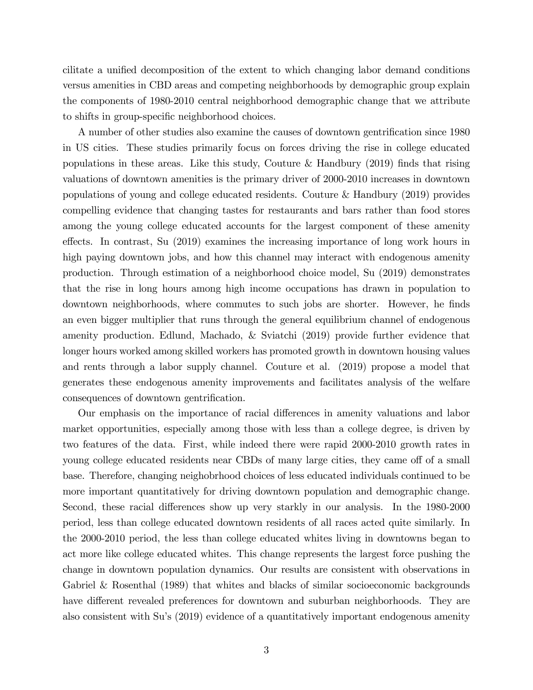cilitate a unified decomposition of the extent to which changing labor demand conditions versus amenities in CBD areas and competing neighborhoods by demographic group explain the components of 1980-2010 central neighborhood demographic change that we attribute to shifts in group-specific neighborhood choices.

A number of other studies also examine the causes of downtown gentrification since 1980 in US cities. These studies primarily focus on forces driving the rise in college educated populations in these areas. Like this study, Couture & Handbury  $(2019)$  finds that rising valuations of downtown amenities is the primary driver of 2000-2010 increases in downtown populations of young and college educated residents. Couture & Handbury (2019) provides compelling evidence that changing tastes for restaurants and bars rather than food stores among the young college educated accounts for the largest component of these amenity effects. In contrast, Su  $(2019)$  examines the increasing importance of long work hours in high paying downtown jobs, and how this channel may interact with endogenous amenity production. Through estimation of a neighborhood choice model, Su (2019) demonstrates that the rise in long hours among high income occupations has drawn in population to downtown neighborhoods, where commutes to such jobs are shorter. However, he finds an even bigger multiplier that runs through the general equilibrium channel of endogenous amenity production. Edlund, Machado, & Sviatchi (2019) provide further evidence that longer hours worked among skilled workers has promoted growth in downtown housing values and rents through a labor supply channel. Couture et al. (2019) propose a model that generates these endogenous amenity improvements and facilitates analysis of the welfare consequences of downtown gentrification.

Our emphasis on the importance of racial differences in amenity valuations and labor market opportunities, especially among those with less than a college degree, is driven by two features of the data. First, while indeed there were rapid 2000-2010 growth rates in young college educated residents near CBDs of many large cities, they came off of a small base. Therefore, changing neighobrhood choices of less educated individuals continued to be more important quantitatively for driving downtown population and demographic change. Second, these racial differences show up very starkly in our analysis. In the 1980-2000 period, less than college educated downtown residents of all races acted quite similarly. In the 2000-2010 period, the less than college educated whites living in downtowns began to act more like college educated whites. This change represents the largest force pushing the change in downtown population dynamics. Our results are consistent with observations in Gabriel & Rosenthal (1989) that whites and blacks of similar socioeconomic backgrounds have different revealed preferences for downtown and suburban neighborhoods. They are also consistent with Su's (2019) evidence of a quantitatively important endogenous amenity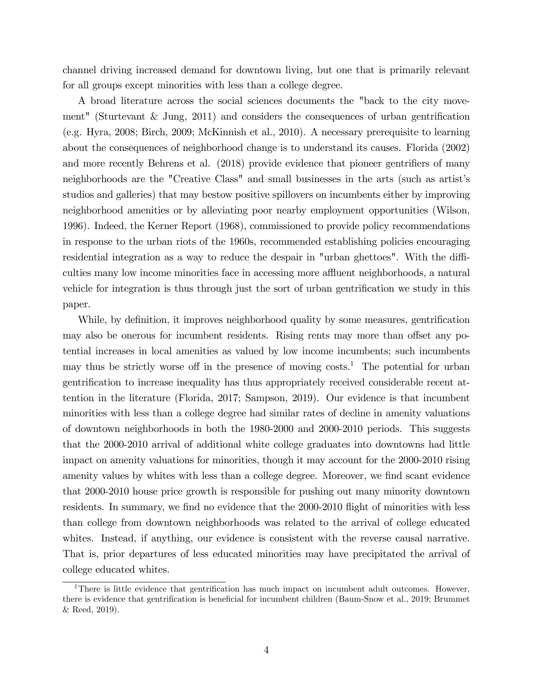channel driving increased demand for downtown living, but one that is primarily relevant for all groups except minorities with less than a college degree.

A broad literature across the social sciences documents the "back to the city movement" (Sturtevant  $\&$  Jung, 2011) and considers the consequences of urban gentrification (e.g. Hyra, 2008; Birch, 2009; McKinnish et al., 2010). A necessary prerequisite to learning about the consequences of neighborhood change is to understand its causes. Florida (2002) and more recently Behrens et al. (2018) provide evidence that pioneer gentrifiers of many neighborhoods are the "Creative Class" and small businesses in the arts (such as artist's studios and galleries) that may bestow positive spillovers on incumbents either by improving neighborhood amenities or by alleviating poor nearby employment opportunities (Wilson, 1996). Indeed, the Kerner Report (1968), commissioned to provide policy recommendations in response to the urban riots of the 1960s, recommended establishing policies encouraging residential integration as a way to reduce the despair in "urban ghettoes". With the difficulties many low income minorities face in accessing more affluent neighborhoods, a natural vehicle for integration is thus through just the sort of urban gentrification we study in this paper.

While, by definition, it improves neighborhood quality by some measures, gentrification may also be onerous for incumbent residents. Rising rents may more than offset any potential increases in local amenities as valued by low income incumbents; such incumbents may thus be strictly worse off in the presence of moving  $costs<sup>1</sup>$ . The potential for urban gentrification to increase inequality has thus appropriately received considerable recent attention in the literature (Florida, 2017; Sampson, 2019). Our evidence is that incumbent minorities with less than a college degree had similar rates of decline in amenity valuations of downtown neighborhoods in both the 1980-2000 and 2000-2010 periods. This suggests that the 2000-2010 arrival of additional white college graduates into downtowns had little impact on amenity valuations for minorities, though it may account for the 2000-2010 rising amenity values by whites with less than a college degree. Moreover, we find scant evidence that 2000-2010 house price growth is responsible for pushing out many minority downtown residents. In summary, we find no evidence that the 2000-2010 flight of minorities with less than college from downtown neighborhoods was related to the arrival of college educated whites. Instead, if anything, our evidence is consistent with the reverse causal narrative. That is, prior departures of less educated minorities may have precipitated the arrival of college educated whites.

<sup>&</sup>lt;sup>1</sup>There is little evidence that gentrification has much impact on incumbent adult outcomes. However, there is evidence that gentrification is beneficial for incumbent children (Baum-Snow et al., 2019; Brummet & Reed, 2019).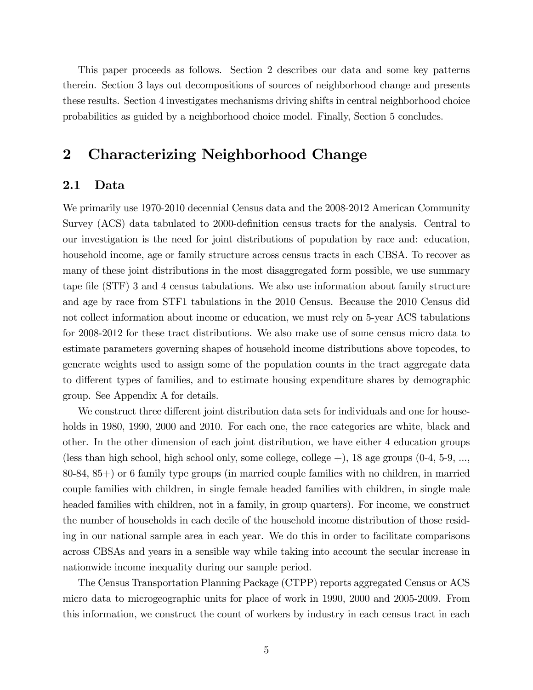This paper proceeds as follows. Section 2 describes our data and some key patterns therein. Section 3 lays out decompositions of sources of neighborhood change and presents these results. Section 4 investigates mechanisms driving shifts in central neighborhood choice probabilities as guided by a neighborhood choice model. Finally, Section 5 concludes.

# 2 Characterizing Neighborhood Change

#### 2.1 Data

We primarily use 1970-2010 decennial Census data and the 2008-2012 American Community Survey (ACS) data tabulated to 2000-definition census tracts for the analysis. Central to our investigation is the need for joint distributions of population by race and: education, household income, age or family structure across census tracts in each CBSA. To recover as many of these joint distributions in the most disaggregated form possible, we use summary tape Öle (STF) 3 and 4 census tabulations. We also use information about family structure and age by race from STF1 tabulations in the 2010 Census. Because the 2010 Census did not collect information about income or education, we must rely on 5-year ACS tabulations for 2008-2012 for these tract distributions. We also make use of some census micro data to estimate parameters governing shapes of household income distributions above topcodes, to generate weights used to assign some of the population counts in the tract aggregate data to different types of families, and to estimate housing expenditure shares by demographic group. See Appendix A for details.

We construct three different joint distribution data sets for individuals and one for households in 1980, 1990, 2000 and 2010. For each one, the race categories are white, black and other. In the other dimension of each joint distribution, we have either 4 education groups (less than high school, high school only, some college, college  $+$ ), 18 age groups (0-4, 5-9, ..., 80-84, 85+) or 6 family type groups (in married couple families with no children, in married couple families with children, in single female headed families with children, in single male headed families with children, not in a family, in group quarters). For income, we construct the number of households in each decile of the household income distribution of those residing in our national sample area in each year. We do this in order to facilitate comparisons across CBSAs and years in a sensible way while taking into account the secular increase in nationwide income inequality during our sample period.

The Census Transportation Planning Package (CTPP) reports aggregated Census or ACS micro data to microgeographic units for place of work in 1990, 2000 and 2005-2009. From this information, we construct the count of workers by industry in each census tract in each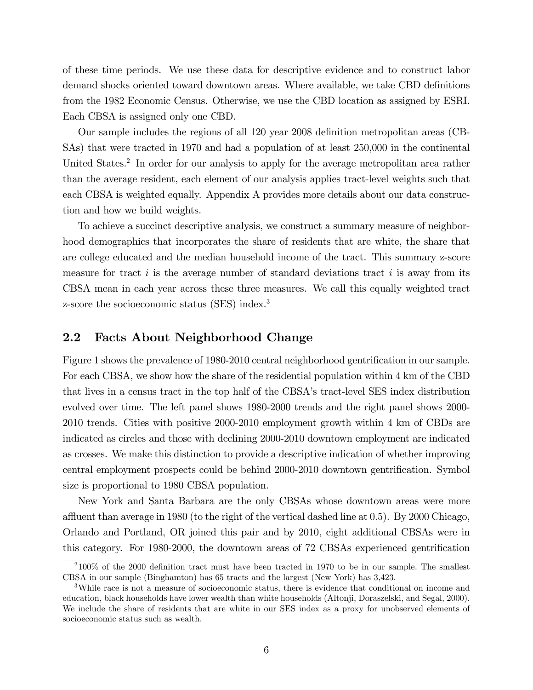of these time periods. We use these data for descriptive evidence and to construct labor demand shocks oriented toward downtown areas. Where available, we take CBD definitions from the 1982 Economic Census. Otherwise, we use the CBD location as assigned by ESRI. Each CBSA is assigned only one CBD.

Our sample includes the regions of all 120 year 2008 definition metropolitan areas (CB-SAs) that were tracted in 1970 and had a population of at least 250,000 in the continental United States.<sup>2</sup> In order for our analysis to apply for the average metropolitan area rather than the average resident, each element of our analysis applies tract-level weights such that each CBSA is weighted equally. Appendix A provides more details about our data construction and how we build weights.

To achieve a succinct descriptive analysis, we construct a summary measure of neighborhood demographics that incorporates the share of residents that are white, the share that are college educated and the median household income of the tract. This summary z-score measure for tract  $i$  is the average number of standard deviations tract  $i$  is away from its CBSA mean in each year across these three measures. We call this equally weighted tract z-score the socioeconomic status (SES) index.<sup>3</sup>

#### 2.2 Facts About Neighborhood Change

Figure 1 shows the prevalence of 1980-2010 central neighborhood gentrification in our sample. For each CBSA, we show how the share of the residential population within 4 km of the CBD that lives in a census tract in the top half of the CBSA's tract-level SES index distribution evolved over time. The left panel shows 1980-2000 trends and the right panel shows 2000- 2010 trends. Cities with positive 2000-2010 employment growth within 4 km of CBDs are indicated as circles and those with declining 2000-2010 downtown employment are indicated as crosses. We make this distinction to provide a descriptive indication of whether improving central employment prospects could be behind 2000-2010 downtown gentrification. Symbol size is proportional to 1980 CBSA population.

New York and Santa Barbara are the only CBSAs whose downtown areas were more affluent than average in 1980 (to the right of the vertical dashed line at  $0.5$ ). By 2000 Chicago, Orlando and Portland, OR joined this pair and by 2010, eight additional CBSAs were in this category. For 1980-2000, the downtown areas of 72 CBSAs experienced gentrification

 $2100\%$  of the 2000 definition tract must have been tracted in 1970 to be in our sample. The smallest CBSA in our sample (Binghamton) has 65 tracts and the largest (New York) has 3,423.

<sup>&</sup>lt;sup>3</sup>While race is not a measure of socioeconomic status, there is evidence that conditional on income and education, black households have lower wealth than white households (Altonji, Doraszelski, and Segal, 2000). We include the share of residents that are white in our SES index as a proxy for unobserved elements of socioeconomic status such as wealth.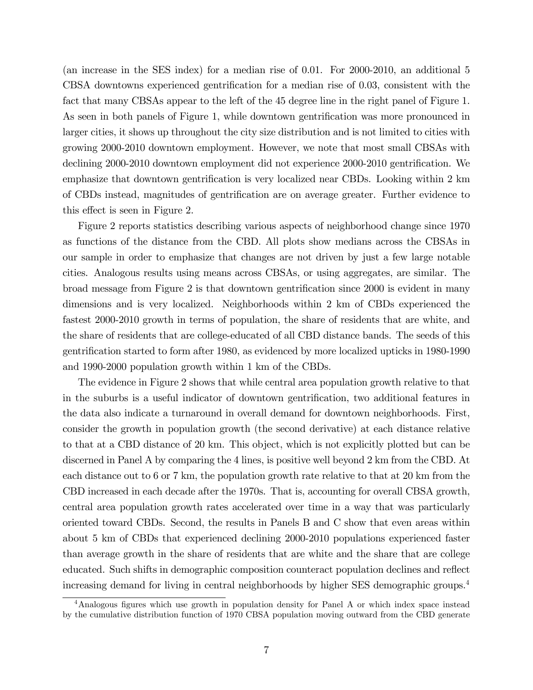(an increase in the SES index) for a median rise of 0.01. For 2000-2010, an additional 5 CBSA downtowns experienced gentrification for a median rise of 0.03, consistent with the fact that many CBSAs appear to the left of the 45 degree line in the right panel of Figure 1. As seen in both panels of Figure 1, while downtown gentrification was more pronounced in larger cities, it shows up throughout the city size distribution and is not limited to cities with growing 2000-2010 downtown employment. However, we note that most small CBSAs with declining 2000-2010 downtown employment did not experience 2000-2010 gentrification. We emphasize that downtown gentrification is very localized near CBDs. Looking within 2 km of CBDs instead, magnitudes of gentrification are on average greater. Further evidence to this effect is seen in Figure 2.

Figure 2 reports statistics describing various aspects of neighborhood change since 1970 as functions of the distance from the CBD. All plots show medians across the CBSAs in our sample in order to emphasize that changes are not driven by just a few large notable cities. Analogous results using means across CBSAs, or using aggregates, are similar. The broad message from Figure 2 is that downtown gentrification since 2000 is evident in many dimensions and is very localized. Neighborhoods within 2 km of CBDs experienced the fastest 2000-2010 growth in terms of population, the share of residents that are white, and the share of residents that are college-educated of all CBD distance bands. The seeds of this gentriÖcation started to form after 1980, as evidenced by more localized upticks in 1980-1990 and 1990-2000 population growth within 1 km of the CBDs.

The evidence in Figure 2 shows that while central area population growth relative to that in the suburbs is a useful indicator of downtown gentrification, two additional features in the data also indicate a turnaround in overall demand for downtown neighborhoods. First, consider the growth in population growth (the second derivative) at each distance relative to that at a CBD distance of 20 km. This object, which is not explicitly plotted but can be discerned in Panel A by comparing the 4 lines, is positive well beyond 2 km from the CBD. At each distance out to 6 or 7 km, the population growth rate relative to that at 20 km from the CBD increased in each decade after the 1970s. That is, accounting for overall CBSA growth, central area population growth rates accelerated over time in a way that was particularly oriented toward CBDs. Second, the results in Panels B and C show that even areas within about 5 km of CBDs that experienced declining 2000-2010 populations experienced faster than average growth in the share of residents that are white and the share that are college educated. Such shifts in demographic composition counteract population declines and reflect increasing demand for living in central neighborhoods by higher SES demographic groups.<sup>4</sup>

<sup>&</sup>lt;sup>4</sup>Analogous figures which use growth in population density for Panel A or which index space instead by the cumulative distribution function of 1970 CBSA population moving outward from the CBD generate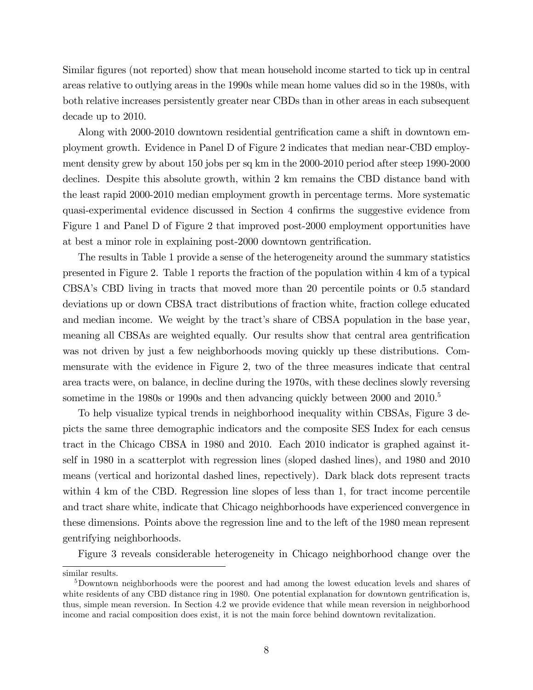Similar figures (not reported) show that mean household income started to tick up in central areas relative to outlying areas in the 1990s while mean home values did so in the 1980s, with both relative increases persistently greater near CBDs than in other areas in each subsequent decade up to 2010.

Along with 2000-2010 downtown residential gentrification came a shift in downtown employment growth. Evidence in Panel D of Figure 2 indicates that median near-CBD employment density grew by about 150 jobs per sq km in the 2000-2010 period after steep 1990-2000 declines. Despite this absolute growth, within 2 km remains the CBD distance band with the least rapid 2000-2010 median employment growth in percentage terms. More systematic quasi-experimental evidence discussed in Section 4 confirms the suggestive evidence from Figure 1 and Panel D of Figure 2 that improved post-2000 employment opportunities have at best a minor role in explaining post-2000 downtown gentrification.

The results in Table 1 provide a sense of the heterogeneity around the summary statistics presented in Figure 2. Table 1 reports the fraction of the population within 4 km of a typical CBSAís CBD living in tracts that moved more than 20 percentile points or 0.5 standard deviations up or down CBSA tract distributions of fraction white, fraction college educated and median income. We weight by the tract's share of CBSA population in the base year, meaning all CBSAs are weighted equally. Our results show that central area gentrification was not driven by just a few neighborhoods moving quickly up these distributions. Commensurate with the evidence in Figure 2, two of the three measures indicate that central area tracts were, on balance, in decline during the 1970s, with these declines slowly reversing sometime in the 1980s or 1990s and then advancing quickly between 2000 and  $2010<sup>5</sup>$ 

To help visualize typical trends in neighborhood inequality within CBSAs, Figure 3 depicts the same three demographic indicators and the composite SES Index for each census tract in the Chicago CBSA in 1980 and 2010. Each 2010 indicator is graphed against itself in 1980 in a scatterplot with regression lines (sloped dashed lines), and 1980 and 2010 means (vertical and horizontal dashed lines, repectively). Dark black dots represent tracts within 4 km of the CBD. Regression line slopes of less than 1, for tract income percentile and tract share white, indicate that Chicago neighborhoods have experienced convergence in these dimensions. Points above the regression line and to the left of the 1980 mean represent gentrifying neighborhoods.

Figure 3 reveals considerable heterogeneity in Chicago neighborhood change over the

similar results.

<sup>5</sup>Downtown neighborhoods were the poorest and had among the lowest education levels and shares of white residents of any CBD distance ring in 1980. One potential explanation for downtown gentrification is, thus, simple mean reversion. In Section 4.2 we provide evidence that while mean reversion in neighborhood income and racial composition does exist, it is not the main force behind downtown revitalization.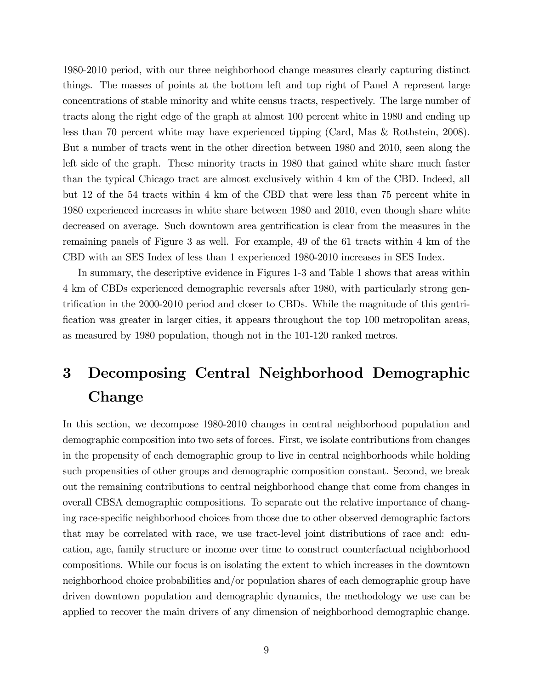1980-2010 period, with our three neighborhood change measures clearly capturing distinct things. The masses of points at the bottom left and top right of Panel A represent large concentrations of stable minority and white census tracts, respectively. The large number of tracts along the right edge of the graph at almost 100 percent white in 1980 and ending up less than 70 percent white may have experienced tipping (Card, Mas & Rothstein, 2008). But a number of tracts went in the other direction between 1980 and 2010, seen along the left side of the graph. These minority tracts in 1980 that gained white share much faster than the typical Chicago tract are almost exclusively within 4 km of the CBD. Indeed, all but 12 of the 54 tracts within 4 km of the CBD that were less than 75 percent white in 1980 experienced increases in white share between 1980 and 2010, even though share white decreased on average. Such downtown area gentrification is clear from the measures in the remaining panels of Figure 3 as well. For example, 49 of the 61 tracts within 4 km of the CBD with an SES Index of less than 1 experienced 1980-2010 increases in SES Index.

In summary, the descriptive evidence in Figures 1-3 and Table 1 shows that areas within 4 km of CBDs experienced demographic reversals after 1980, with particularly strong gentrification in the 2000-2010 period and closer to CBDs. While the magnitude of this gentrification was greater in larger cities, it appears throughout the top 100 metropolitan areas, as measured by 1980 population, though not in the 101-120 ranked metros.

# 3 Decomposing Central Neighborhood Demographic Change

In this section, we decompose 1980-2010 changes in central neighborhood population and demographic composition into two sets of forces. First, we isolate contributions from changes in the propensity of each demographic group to live in central neighborhoods while holding such propensities of other groups and demographic composition constant. Second, we break out the remaining contributions to central neighborhood change that come from changes in overall CBSA demographic compositions. To separate out the relative importance of changing race-speciÖc neighborhood choices from those due to other observed demographic factors that may be correlated with race, we use tract-level joint distributions of race and: education, age, family structure or income over time to construct counterfactual neighborhood compositions. While our focus is on isolating the extent to which increases in the downtown neighborhood choice probabilities and/or population shares of each demographic group have driven downtown population and demographic dynamics, the methodology we use can be applied to recover the main drivers of any dimension of neighborhood demographic change.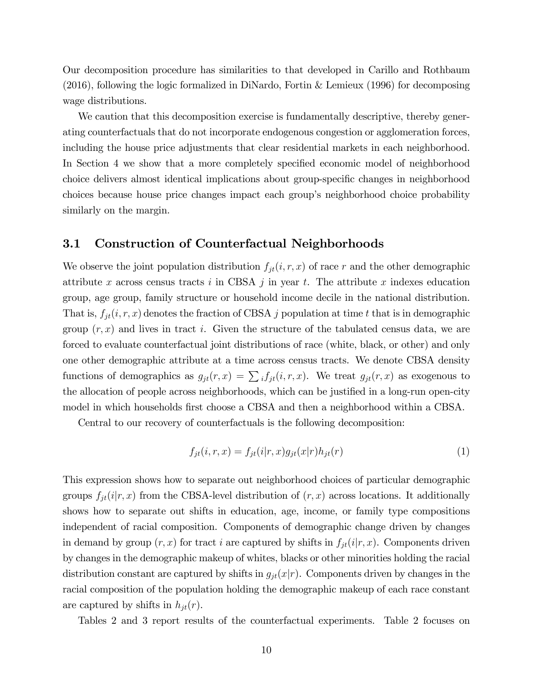Our decomposition procedure has similarities to that developed in Carillo and Rothbaum (2016), following the logic formalized in DiNardo, Fortin & Lemieux (1996) for decomposing wage distributions.

We caution that this decomposition exercise is fundamentally descriptive, thereby generating counterfactuals that do not incorporate endogenous congestion or agglomeration forces, including the house price adjustments that clear residential markets in each neighborhood. In Section 4 we show that a more completely specified economic model of neighborhood choice delivers almost identical implications about group-specific changes in neighborhood choices because house price changes impact each groupís neighborhood choice probability similarly on the margin.

#### 3.1 Construction of Counterfactual Neighborhoods

We observe the joint population distribution  $f_{jt}(i, r, x)$  of race r and the other demographic attribute x across census tracts i in CBSA j in year t. The attribute x indexes education group, age group, family structure or household income decile in the national distribution. That is,  $f_{jt}(i, r, x)$  denotes the fraction of CBSA j population at time t that is in demographic group  $(r, x)$  and lives in tract i. Given the structure of the tabulated census data, we are forced to evaluate counterfactual joint distributions of race (white, black, or other) and only one other demographic attribute at a time across census tracts. We denote CBSA density functions of demographics as  $g_{jt}(r, x) = \sum_i f_{jt}(i, r, x)$ . We treat  $g_{jt}(r, x)$  as exogenous to the allocation of people across neighborhoods, which can be justified in a long-run open-city model in which households first choose a CBSA and then a neighborhood within a CBSA.

Central to our recovery of counterfactuals is the following decomposition:

$$
f_{jt}(i, r, x) = f_{jt}(i|r, x)g_{jt}(x|r)h_{jt}(r)
$$
\n
$$
(1)
$$

This expression shows how to separate out neighborhood choices of particular demographic groups  $f_{jt}(i|r, x)$  from the CBSA-level distribution of  $(r, x)$  across locations. It additionally shows how to separate out shifts in education, age, income, or family type compositions independent of racial composition. Components of demographic change driven by changes in demand by group  $(r, x)$  for tract i are captured by shifts in  $f_{jt}(i|r, x)$ . Components driven by changes in the demographic makeup of whites, blacks or other minorities holding the racial distribution constant are captured by shifts in  $g_{jt}(x|r)$ . Components driven by changes in the racial composition of the population holding the demographic makeup of each race constant are captured by shifts in  $h_{jt}(r)$ .

Tables 2 and 3 report results of the counterfactual experiments. Table 2 focuses on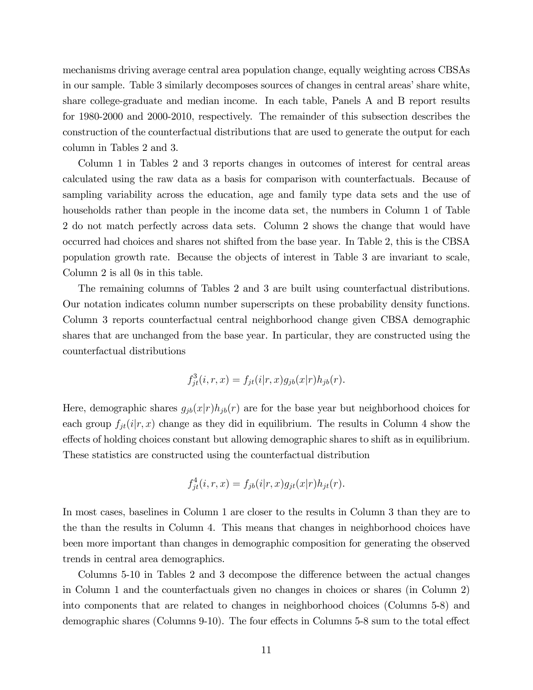mechanisms driving average central area population change, equally weighting across CBSAs in our sample. Table 3 similarly decomposes sources of changes in central areas' share white, share college-graduate and median income. In each table, Panels A and B report results for 1980-2000 and 2000-2010, respectively. The remainder of this subsection describes the construction of the counterfactual distributions that are used to generate the output for each column in Tables 2 and 3.

Column 1 in Tables 2 and 3 reports changes in outcomes of interest for central areas calculated using the raw data as a basis for comparison with counterfactuals. Because of sampling variability across the education, age and family type data sets and the use of households rather than people in the income data set, the numbers in Column 1 of Table 2 do not match perfectly across data sets. Column 2 shows the change that would have occurred had choices and shares not shifted from the base year. In Table 2, this is the CBSA population growth rate. Because the objects of interest in Table 3 are invariant to scale, Column 2 is all 0s in this table.

The remaining columns of Tables 2 and 3 are built using counterfactual distributions. Our notation indicates column number superscripts on these probability density functions. Column 3 reports counterfactual central neighborhood change given CBSA demographic shares that are unchanged from the base year. In particular, they are constructed using the counterfactual distributions

$$
f_{jt}^{3}(i, r, x) = f_{jt}(i|r, x)g_{jb}(x|r)h_{jb}(r).
$$

Here, demographic shares  $g_{jb}(x|r)h_{jb}(r)$  are for the base year but neighborhood choices for each group  $f_{jt}(i|r, x)$  change as they did in equilibrium. The results in Column 4 show the effects of holding choices constant but allowing demographic shares to shift as in equilibrium. These statistics are constructed using the counterfactual distribution

$$
f_{jt}^4(i,r,x) = f_{jb}(i|r,x)g_{jt}(x|r)h_{jt}(r).
$$

In most cases, baselines in Column 1 are closer to the results in Column 3 than they are to the than the results in Column 4. This means that changes in neighborhood choices have been more important than changes in demographic composition for generating the observed trends in central area demographics.

Columns 5-10 in Tables 2 and 3 decompose the difference between the actual changes in Column 1 and the counterfactuals given no changes in choices or shares (in Column 2) into components that are related to changes in neighborhood choices (Columns 5-8) and demographic shares (Columns 9-10). The four effects in Columns 5-8 sum to the total effect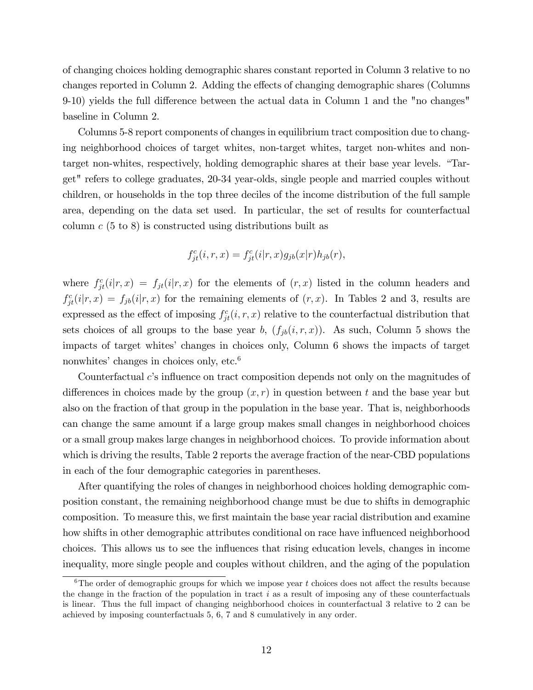of changing choices holding demographic shares constant reported in Column 3 relative to no changes reported in Column 2. Adding the effects of changing demographic shares (Columns 9-10) yields the full difference between the actual data in Column 1 and the "no changes" baseline in Column 2.

Columns 5-8 report components of changes in equilibrium tract composition due to changing neighborhood choices of target whites, non-target whites, target non-whites and nontarget non-whites, respectively, holding demographic shares at their base year levels. "Target" refers to college graduates, 20-34 year-olds, single people and married couples without children, or households in the top three deciles of the income distribution of the full sample area, depending on the data set used. In particular, the set of results for counterfactual column  $c$  (5 to 8) is constructed using distributions built as

$$
f_{jt}^c(i,r,x) = f_{jt}^c(i|r,x)g_{jb}(x|r)h_{jb}(r),
$$

where  $f_{jt}^c(i|r, x) = f_{jt}(i|r, x)$  for the elements of  $(r, x)$  listed in the column headers and  $f_{jt}^c(i|r, x) = f_{jb}(i|r, x)$  for the remaining elements of  $(r, x)$ . In Tables 2 and 3, results are expressed as the effect of imposing  $f_{jt}^c(i, r, x)$  relative to the counterfactual distribution that sets choices of all groups to the base year b,  $(f_{ib}(i, r, x))$ . As such, Column 5 shows the impacts of target whitesí changes in choices only, Column 6 shows the impacts of target nonwhites' changes in choices only, etc. $6$ 

Counterfactual  $c$ 's influence on tract composition depends not only on the magnitudes of differences in choices made by the group  $(x, r)$  in question between t and the base year but also on the fraction of that group in the population in the base year. That is, neighborhoods can change the same amount if a large group makes small changes in neighborhood choices or a small group makes large changes in neighborhood choices. To provide information about which is driving the results, Table 2 reports the average fraction of the near-CBD populations in each of the four demographic categories in parentheses.

After quantifying the roles of changes in neighborhood choices holding demographic composition constant, the remaining neighborhood change must be due to shifts in demographic composition. To measure this, we first maintain the base year racial distribution and examine how shifts in other demographic attributes conditional on race have influenced neighborhood choices. This allows us to see the ináuences that rising education levels, changes in income inequality, more single people and couples without children, and the aging of the population

 $6$ The order of demographic groups for which we impose year t choices does not affect the results because the change in the fraction of the population in tract  $i$  as a result of imposing any of these counterfactuals is linear. Thus the full impact of changing neighborhood choices in counterfactual 3 relative to 2 can be achieved by imposing counterfactuals 5, 6, 7 and 8 cumulatively in any order.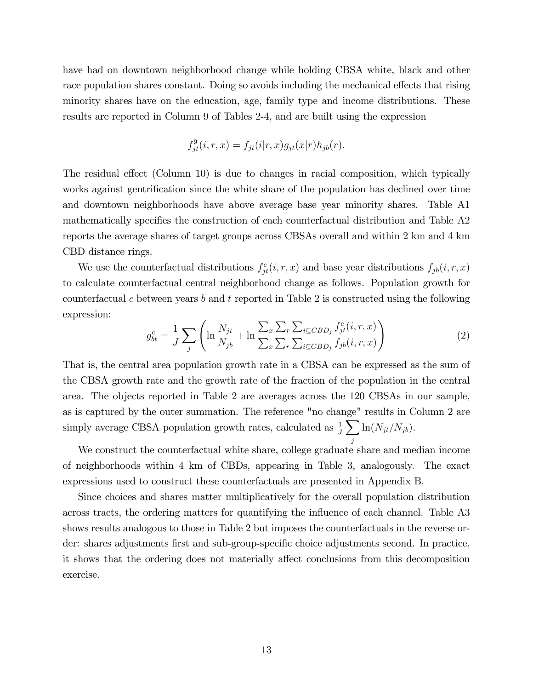have had on downtown neighborhood change while holding CBSA white, black and other race population shares constant. Doing so avoids including the mechanical effects that rising minority shares have on the education, age, family type and income distributions. These results are reported in Column 9 of Tables 2-4, and are built using the expression

$$
f_{jt}^9(i,r,x) = f_{jt}(i|r,x)g_{jt}(x|r)h_{jb}(r).
$$

The residual effect (Column 10) is due to changes in racial composition, which typically works against gentrification since the white share of the population has declined over time and downtown neighborhoods have above average base year minority shares. Table A1 mathematically specifies the construction of each counterfactual distribution and Table A2 reports the average shares of target groups across CBSAs overall and within 2 km and 4 km CBD distance rings.

We use the counterfactual distributions  $f_{jt}^c(i, r, x)$  and base year distributions  $f_{jb}(i, r, x)$ to calculate counterfactual central neighborhood change as follows. Population growth for counterfactual c between years b and t reported in Table 2 is constructed using the following expression:

$$
g_{bt}^c = \frac{1}{J} \sum_{j} \left( \ln \frac{N_{jt}}{N_{jb}} + \ln \frac{\sum_{x} \sum_{r} \sum_{i \subseteq CBD_j} f_{jt}^c(i, r, x)}{\sum_{x} \sum_{r} \sum_{i \subseteq CBD_j} f_{jb}(i, r, x)} \right)
$$
(2)

That is, the central area population growth rate in a CBSA can be expressed as the sum of the CBSA growth rate and the growth rate of the fraction of the population in the central area. The objects reported in Table 2 are averages across the 120 CBSAs in our sample, as is captured by the outer summation. The reference "no change" results in Column 2 are simply average CBSA population growth rates, calculated as  $\frac{1}{J} \sum$ j  $\ln(N_{jt}/N_{jb}).$ 

We construct the counterfactual white share, college graduate share and median income of neighborhoods within 4 km of CBDs, appearing in Table 3, analogously. The exact expressions used to construct these counterfactuals are presented in Appendix B.

Since choices and shares matter multiplicatively for the overall population distribution across tracts, the ordering matters for quantifying the influence of each channel. Table A3 shows results analogous to those in Table 2 but imposes the counterfactuals in the reverse order: shares adjustments first and sub-group-specific choice adjustments second. In practice, it shows that the ordering does not materially affect conclusions from this decomposition exercise.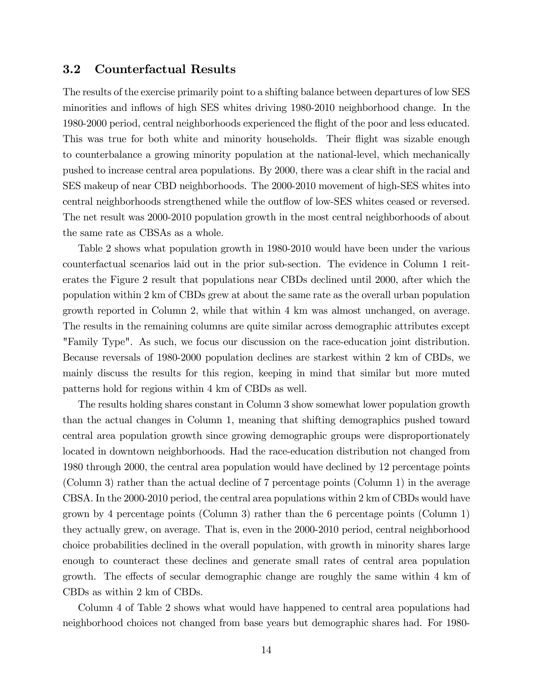#### 3.2 Counterfactual Results

The results of the exercise primarily point to a shifting balance between departures of low SES minorities and inflows of high SES whites driving 1980-2010 neighborhood change. In the 1980-2000 period, central neighborhoods experienced the áight of the poor and less educated. This was true for both white and minority households. Their flight was sizable enough to counterbalance a growing minority population at the national-level, which mechanically pushed to increase central area populations. By 2000, there was a clear shift in the racial and SES makeup of near CBD neighborhoods. The 2000-2010 movement of high-SES whites into central neighborhoods strengthened while the outflow of low-SES whites ceased or reversed. The net result was 2000-2010 population growth in the most central neighborhoods of about the same rate as CBSAs as a whole.

Table 2 shows what population growth in 1980-2010 would have been under the various counterfactual scenarios laid out in the prior sub-section. The evidence in Column 1 reiterates the Figure 2 result that populations near CBDs declined until 2000, after which the population within 2 km of CBDs grew at about the same rate as the overall urban population growth reported in Column 2, while that within 4 km was almost unchanged, on average. The results in the remaining columns are quite similar across demographic attributes except "Family Type". As such, we focus our discussion on the race-education joint distribution. Because reversals of 1980-2000 population declines are starkest within 2 km of CBDs, we mainly discuss the results for this region, keeping in mind that similar but more muted patterns hold for regions within 4 km of CBDs as well.

The results holding shares constant in Column 3 show somewhat lower population growth than the actual changes in Column 1, meaning that shifting demographics pushed toward central area population growth since growing demographic groups were disproportionately located in downtown neighborhoods. Had the race-education distribution not changed from 1980 through 2000, the central area population would have declined by 12 percentage points (Column 3) rather than the actual decline of 7 percentage points (Column 1) in the average CBSA. In the 2000-2010 period, the central area populations within 2 km of CBDs would have grown by 4 percentage points (Column 3) rather than the 6 percentage points (Column 1) they actually grew, on average. That is, even in the 2000-2010 period, central neighborhood choice probabilities declined in the overall population, with growth in minority shares large enough to counteract these declines and generate small rates of central area population growth. The effects of secular demographic change are roughly the same within 4 km of CBDs as within 2 km of CBDs.

Column 4 of Table 2 shows what would have happened to central area populations had neighborhood choices not changed from base years but demographic shares had. For 1980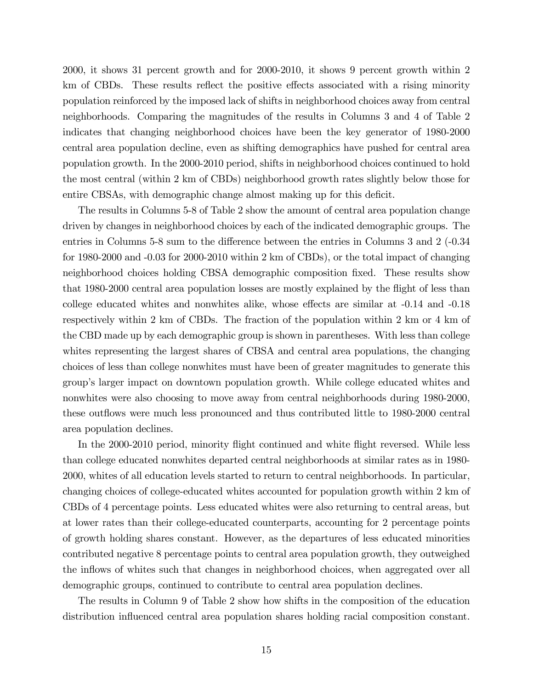2000, it shows 31 percent growth and for 2000-2010, it shows 9 percent growth within 2 km of CBDs. These results reflect the positive effects associated with a rising minority population reinforced by the imposed lack of shifts in neighborhood choices away from central neighborhoods. Comparing the magnitudes of the results in Columns 3 and 4 of Table 2 indicates that changing neighborhood choices have been the key generator of 1980-2000 central area population decline, even as shifting demographics have pushed for central area population growth. In the 2000-2010 period, shifts in neighborhood choices continued to hold the most central (within 2 km of CBDs) neighborhood growth rates slightly below those for entire CBSAs, with demographic change almost making up for this deficit.

The results in Columns 5-8 of Table 2 show the amount of central area population change driven by changes in neighborhood choices by each of the indicated demographic groups. The entries in Columns 5-8 sum to the difference between the entries in Columns 3 and 2 ( $-0.34$ ) for 1980-2000 and -0.03 for 2000-2010 within 2 km of CBDs), or the total impact of changing neighborhood choices holding CBSA demographic composition fixed. These results show that 1980-2000 central area population losses are mostly explained by the flight of less than college educated whites and nonwhites alike, whose effects are similar at  $-0.14$  and  $-0.18$ respectively within 2 km of CBDs. The fraction of the population within 2 km or 4 km of the CBD made up by each demographic group is shown in parentheses. With less than college whites representing the largest shares of CBSA and central area populations, the changing choices of less than college nonwhites must have been of greater magnitudes to generate this groupís larger impact on downtown population growth. While college educated whites and nonwhites were also choosing to move away from central neighborhoods during 1980-2000, these outflows were much less pronounced and thus contributed little to 1980-2000 central area population declines.

In the 2000-2010 period, minority flight continued and white flight reversed. While less than college educated nonwhites departed central neighborhoods at similar rates as in 1980- 2000, whites of all education levels started to return to central neighborhoods. In particular, changing choices of college-educated whites accounted for population growth within 2 km of CBDs of 4 percentage points. Less educated whites were also returning to central areas, but at lower rates than their college-educated counterparts, accounting for 2 percentage points of growth holding shares constant. However, as the departures of less educated minorities contributed negative 8 percentage points to central area population growth, they outweighed the inflows of whites such that changes in neighborhood choices, when aggregated over all demographic groups, continued to contribute to central area population declines.

The results in Column 9 of Table 2 show how shifts in the composition of the education distribution influenced central area population shares holding racial composition constant.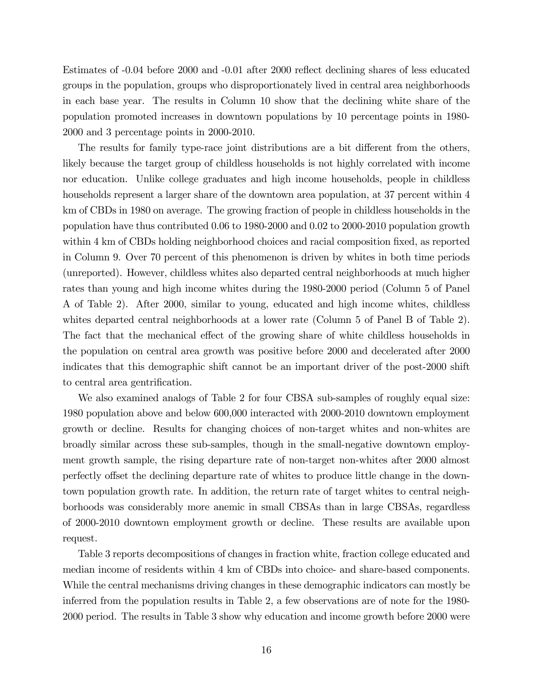Estimates of -0.04 before 2000 and -0.01 after 2000 reflect declining shares of less educated groups in the population, groups who disproportionately lived in central area neighborhoods in each base year. The results in Column 10 show that the declining white share of the population promoted increases in downtown populations by 10 percentage points in 1980- 2000 and 3 percentage points in 2000-2010.

The results for family type-race joint distributions are a bit different from the others, likely because the target group of childless households is not highly correlated with income nor education. Unlike college graduates and high income households, people in childless households represent a larger share of the downtown area population, at 37 percent within 4 km of CBDs in 1980 on average. The growing fraction of people in childless households in the population have thus contributed 0.06 to 1980-2000 and 0.02 to 2000-2010 population growth within 4 km of CBDs holding neighborhood choices and racial composition fixed, as reported in Column 9. Over 70 percent of this phenomenon is driven by whites in both time periods (unreported). However, childless whites also departed central neighborhoods at much higher rates than young and high income whites during the 1980-2000 period (Column 5 of Panel A of Table 2). After 2000, similar to young, educated and high income whites, childless whites departed central neighborhoods at a lower rate (Column 5 of Panel B of Table 2). The fact that the mechanical effect of the growing share of white childless households in the population on central area growth was positive before 2000 and decelerated after 2000 indicates that this demographic shift cannot be an important driver of the post-2000 shift to central area gentrification.

We also examined analogs of Table 2 for four CBSA sub-samples of roughly equal size: 1980 population above and below 600,000 interacted with 2000-2010 downtown employment growth or decline. Results for changing choices of non-target whites and non-whites are broadly similar across these sub-samples, though in the small-negative downtown employment growth sample, the rising departure rate of non-target non-whites after 2000 almost perfectly offset the declining departure rate of whites to produce little change in the downtown population growth rate. In addition, the return rate of target whites to central neighborhoods was considerably more anemic in small CBSAs than in large CBSAs, regardless of 2000-2010 downtown employment growth or decline. These results are available upon request.

Table 3 reports decompositions of changes in fraction white, fraction college educated and median income of residents within 4 km of CBDs into choice- and share-based components. While the central mechanisms driving changes in these demographic indicators can mostly be inferred from the population results in Table 2, a few observations are of note for the 1980- 2000 period. The results in Table 3 show why education and income growth before 2000 were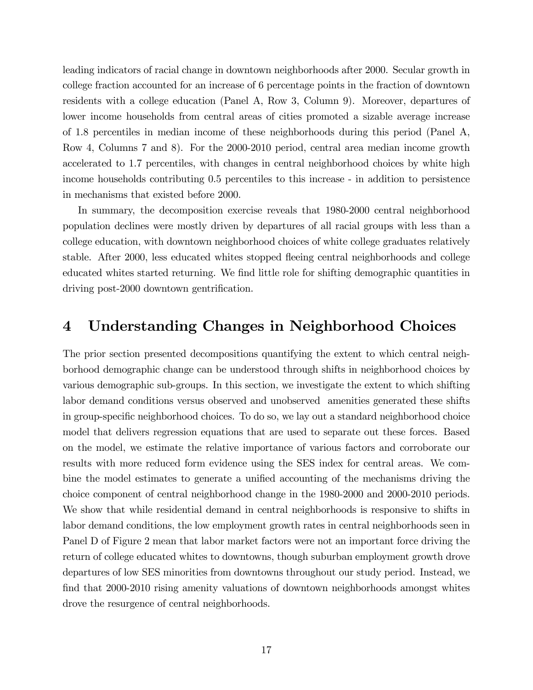leading indicators of racial change in downtown neighborhoods after 2000. Secular growth in college fraction accounted for an increase of 6 percentage points in the fraction of downtown residents with a college education (Panel A, Row 3, Column 9). Moreover, departures of lower income households from central areas of cities promoted a sizable average increase of 1.8 percentiles in median income of these neighborhoods during this period (Panel A, Row 4, Columns 7 and 8). For the 2000-2010 period, central area median income growth accelerated to 1.7 percentiles, with changes in central neighborhood choices by white high income households contributing 0.5 percentiles to this increase - in addition to persistence in mechanisms that existed before 2000.

In summary, the decomposition exercise reveals that 1980-2000 central neighborhood population declines were mostly driven by departures of all racial groups with less than a college education, with downtown neighborhood choices of white college graduates relatively stable. After 2000, less educated whites stopped áeeing central neighborhoods and college educated whites started returning. We find little role for shifting demographic quantities in driving post-2000 downtown gentrification.

# 4 Understanding Changes in Neighborhood Choices

The prior section presented decompositions quantifying the extent to which central neighborhood demographic change can be understood through shifts in neighborhood choices by various demographic sub-groups. In this section, we investigate the extent to which shifting labor demand conditions versus observed and unobserved amenities generated these shifts in group-specific neighborhood choices. To do so, we lay out a standard neighborhood choice model that delivers regression equations that are used to separate out these forces. Based on the model, we estimate the relative importance of various factors and corroborate our results with more reduced form evidence using the SES index for central areas. We combine the model estimates to generate a unified accounting of the mechanisms driving the choice component of central neighborhood change in the 1980-2000 and 2000-2010 periods. We show that while residential demand in central neighborhoods is responsive to shifts in labor demand conditions, the low employment growth rates in central neighborhoods seen in Panel D of Figure 2 mean that labor market factors were not an important force driving the return of college educated whites to downtowns, though suburban employment growth drove departures of low SES minorities from downtowns throughout our study period. Instead, we find that 2000-2010 rising amenity valuations of downtown neighborhoods amongst whites drove the resurgence of central neighborhoods.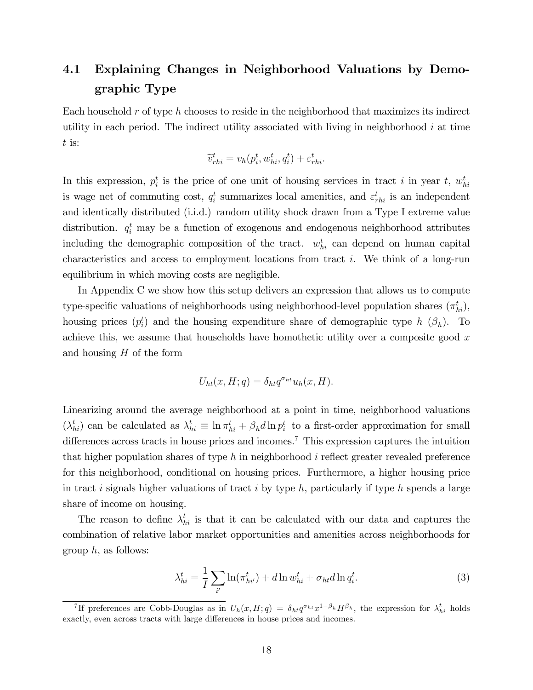# 4.1 Explaining Changes in Neighborhood Valuations by Demographic Type

Each household  $r$  of type  $h$  chooses to reside in the neighborhood that maximizes its indirect utility in each period. The indirect utility associated with living in neighborhood  $i$  at time t is:

$$
\widetilde{v}_{rhi}^t = v_h(p_i^t, w_{hi}^t, q_i^t) + \varepsilon_{rhi}^t.
$$

In this expression,  $p_i^t$  is the price of one unit of housing services in tract i in year t,  $w_{hi}^t$ is wage net of commuting cost,  $q_i^t$  summarizes local amenities, and  $\varepsilon_{rhi}^t$  is an independent and identically distributed (i.i.d.) random utility shock drawn from a Type I extreme value distribution.  $q_i^t$  may be a function of exogenous and endogenous neighborhood attributes including the demographic composition of the tract.  $w_{hi}^t$  can depend on human capital characteristics and access to employment locations from tract i. We think of a long-run equilibrium in which moving costs are negligible.

In Appendix C we show how this setup delivers an expression that allows us to compute type-specific valuations of neighborhoods using neighborhood-level population shares  $(\pi_{hi}^t)$ , housing prices  $(p_i^t)$  and the housing expenditure share of demographic type h  $(\beta_h)$ . To achieve this, we assume that households have homothetic utility over a composite good  $x$ and housing  $H$  of the form

$$
U_{ht}(x, H; q) = \delta_{ht} q^{\sigma_{ht}} u_h(x, H).
$$

Linearizing around the average neighborhood at a point in time, neighborhood valuations  $(\lambda_{hi}^t)$  can be calculated as  $\lambda_{hi}^t \equiv \ln \pi_{hi}^t + \beta_h d \ln p_i^t$  to a first-order approximation for small differences across tracts in house prices and incomes.<sup>7</sup> This expression captures the intuition that higher population shares of type h in neighborhood i reflect greater revealed preference for this neighborhood, conditional on housing prices. Furthermore, a higher housing price in tract i signals higher valuations of tract i by type  $h$ , particularly if type  $h$  spends a large share of income on housing.

The reason to define  $\lambda_{hi}^t$  is that it can be calculated with our data and captures the combination of relative labor market opportunities and amenities across neighborhoods for group  $h$ , as follows:

$$
\lambda_{hi}^t = \frac{1}{I} \sum_{i'} \ln(\pi_{hi'}^t) + d \ln w_{hi}^t + \sigma_{ht} d \ln q_i^t.
$$
 (3)

<sup>&</sup>lt;sup>7</sup>If preferences are Cobb-Douglas as in  $U_h(x, H; q) = \delta_{ht} q^{\sigma_{ht}} x^{1-\beta_h} H^{\beta_h}$ , the expression for  $\lambda_{hi}^t$  holds exactly, even across tracts with large differences in house prices and incomes.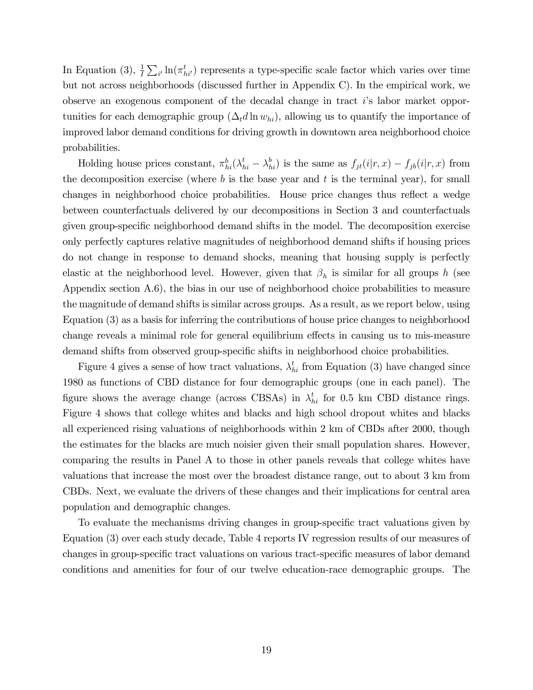In Equation (3),  $\frac{1}{I}\sum_{i'}\ln(\pi_{hi'}^t)$  represents a type-specific scale factor which varies over time but not across neighborhoods (discussed further in Appendix C). In the empirical work, we observe an exogenous component of the decadal change in tract iís labor market opportunities for each demographic group  $(\Delta_t d \ln w_{hi})$ , allowing us to quantify the importance of improved labor demand conditions for driving growth in downtown area neighborhood choice probabilities.

Holding house prices constant,  $\pi_{hi}^b(\lambda_{hi}^t - \lambda_{hi}^b)$  is the same as  $f_{jt}(i|r, x) - f_{jb}(i|r, x)$  from the decomposition exercise (where  $b$  is the base year and  $t$  is the terminal year), for small changes in neighborhood choice probabilities. House price changes thus reflect a wedge between counterfactuals delivered by our decompositions in Section 3 and counterfactuals given group-specific neighborhood demand shifts in the model. The decomposition exercise only perfectly captures relative magnitudes of neighborhood demand shifts if housing prices do not change in response to demand shocks, meaning that housing supply is perfectly elastic at the neighborhood level. However, given that  $\beta_h$  is similar for all groups h (see Appendix section A.6), the bias in our use of neighborhood choice probabilities to measure the magnitude of demand shifts is similar across groups. As a result, as we report below, using Equation (3) as a basis for inferring the contributions of house price changes to neighborhood change reveals a minimal role for general equilibrium effects in causing us to mis-measure demand shifts from observed group-specific shifts in neighborhood choice probabilities.

Figure 4 gives a sense of how tract valuations,  $\lambda_{hi}^t$  from Equation (3) have changed since 1980 as functions of CBD distance for four demographic groups (one in each panel). The figure shows the average change (across CBSAs) in  $\lambda_{hi}^t$  for 0.5 km CBD distance rings. Figure 4 shows that college whites and blacks and high school dropout whites and blacks all experienced rising valuations of neighborhoods within 2 km of CBDs after 2000, though the estimates for the blacks are much noisier given their small population shares. However, comparing the results in Panel A to those in other panels reveals that college whites have valuations that increase the most over the broadest distance range, out to about 3 km from CBDs. Next, we evaluate the drivers of these changes and their implications for central area population and demographic changes.

To evaluate the mechanisms driving changes in group-specific tract valuations given by Equation (3) over each study decade, Table 4 reports IV regression results of our measures of changes in group-specific tract valuations on various tract-specific measures of labor demand conditions and amenities for four of our twelve education-race demographic groups. The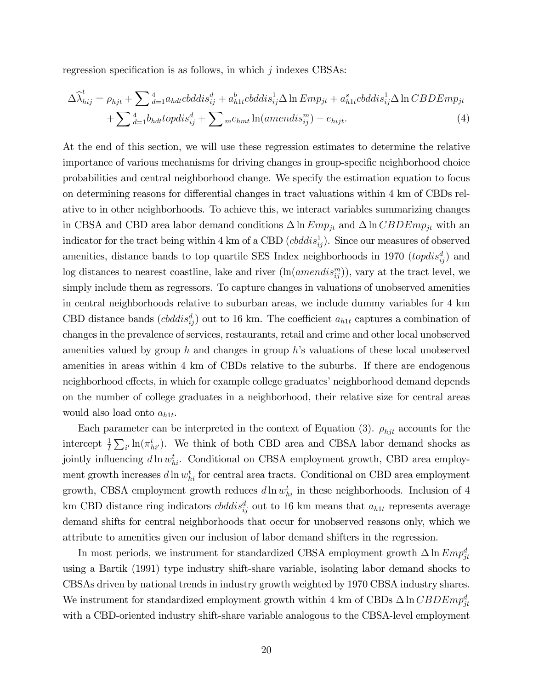regression specification is as follows, in which  $j$  indexes CBSAs:

$$
\Delta \hat{\lambda}_{hij}^t = \rho_{hjt} + \sum_{d=1}^4 a_{hdt} \n\text{c}b \n\text{d}d s_{ij}^d + a_{h1t}^b \n\text{c}b \n\text{d}d s_{ij}^1 \n\Delta \ln \text{Emp}_{jt} + a_{h1t}^s \n\text{c}b \n\text{d}d s_{ij}^1 \n\Delta \ln \text{CBDEmp}_{jt} + \sum_{d=1}^4 b_{hdt} \n\text{topdis}_{ij}^d + \sum_{m \in \text{hmt}} a_{h1t} \n\text{amendis}_{ij}^m + e_{hijt}.
$$
\n(4)

At the end of this section, we will use these regression estimates to determine the relative importance of various mechanisms for driving changes in group-specific neighborhood choice probabilities and central neighborhood change. We specify the estimation equation to focus on determining reasons for differential changes in tract valuations within 4 km of CBDs relative to in other neighborhoods. To achieve this, we interact variables summarizing changes in CBSA and CBD area labor demand conditions  $\Delta \ln Emp_{jt}$  and  $\Delta \ln CBDEmp_{jt}$  with an indicator for the tract being within 4 km of a CBD ( $cbddis_{ij}^1$ ). Since our measures of observed amenities, distance bands to top quartile SES Index neighborhoods in 1970  $(topdis_{ij}^d)$  and log distances to nearest coastline, lake and river  $(\ln(amendis_{ij}^m))$ , vary at the tract level, we simply include them as regressors. To capture changes in valuations of unobserved amenities in central neighborhoods relative to suburban areas, we include dummy variables for 4 km CBD distance bands  $(cbddis_{ij}^d)$  out to 16 km. The coefficient  $a_{h1t}$  captures a combination of changes in the prevalence of services, restaurants, retail and crime and other local unobserved amenities valued by group h and changes in group h's valuations of these local unobserved amenities in areas within 4 km of CBDs relative to the suburbs. If there are endogenous neighborhood effects, in which for example college graduates' neighborhood demand depends on the number of college graduates in a neighborhood, their relative size for central areas would also load onto  $a_{h1t}$ .

Each parameter can be interpreted in the context of Equation (3).  $\rho_{hjt}$  accounts for the intercept  $\frac{1}{I}\sum_{i'}\ln(\pi_{hi'}^t)$ . We think of both CBD area and CBSA labor demand shocks as jointly influencing  $d \ln w_{hi}^t$ . Conditional on CBSA employment growth, CBD area employment growth increases  $d \ln w_{hi}^t$  for central area tracts. Conditional on CBD area employment growth, CBSA employment growth reduces  $d \ln w_{hi}^t$  in these neighborhoods. Inclusion of 4 km CBD distance ring indicators  $cbddis_{ij}^d$  out to 16 km means that  $a_{h1t}$  represents average demand shifts for central neighborhoods that occur for unobserved reasons only, which we attribute to amenities given our inclusion of labor demand shifters in the regression.

In most periods, we instrument for standardized CBSA employment growth  $\Delta \ln Emp_{jt}^d$ using a Bartik (1991) type industry shift-share variable, isolating labor demand shocks to CBSAs driven by national trends in industry growth weighted by 1970 CBSA industry shares. We instrument for standardized employment growth within 4 km of CBDs  $\Delta \ln CBDEmp_{jt}^d$ with a CBD-oriented industry shift-share variable analogous to the CBSA-level employment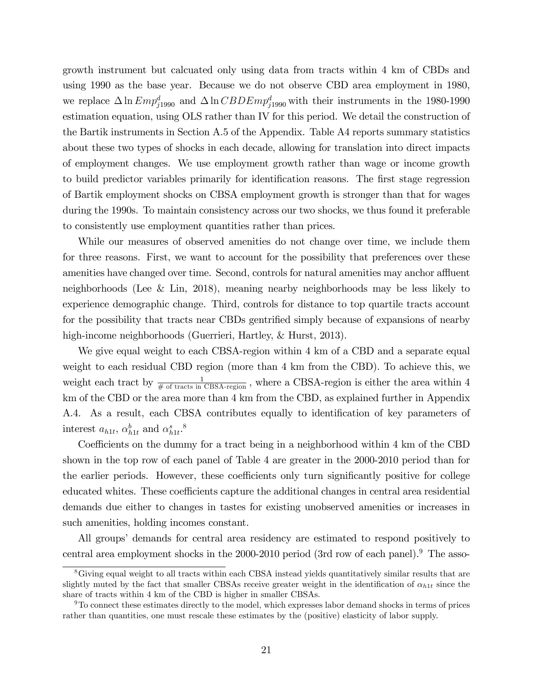growth instrument but calcuated only using data from tracts within 4 km of CBDs and using 1990 as the base year. Because we do not observe CBD area employment in 1980, we replace  $\Delta \ln Emp_{j1990}^d$  and  $\Delta \ln CBDEmp_{j1990}^d$  with their instruments in the 1980-1990 estimation equation, using OLS rather than IV for this period. We detail the construction of the Bartik instruments in Section A.5 of the Appendix. Table A4 reports summary statistics about these two types of shocks in each decade, allowing for translation into direct impacts of employment changes. We use employment growth rather than wage or income growth to build predictor variables primarily for identification reasons. The first stage regression of Bartik employment shocks on CBSA employment growth is stronger than that for wages during the 1990s. To maintain consistency across our two shocks, we thus found it preferable to consistently use employment quantities rather than prices.

While our measures of observed amenities do not change over time, we include them for three reasons. First, we want to account for the possibility that preferences over these amenities have changed over time. Second, controls for natural amenities may anchor affluent neighborhoods (Lee & Lin, 2018), meaning nearby neighborhoods may be less likely to experience demographic change. Third, controls for distance to top quartile tracts account for the possibility that tracts near CBDs gentrified simply because of expansions of nearby high-income neighborhoods (Guerrieri, Hartley, & Hurst, 2013).

We give equal weight to each CBSA-region within 4 km of a CBD and a separate equal weight to each residual CBD region (more than 4 km from the CBD). To achieve this, we weight each tract by  $\frac{1}{\# \text{ of tracks in CBSA-region}}$ , where a CBSA-region is either the area within 4 km of the CBD or the area more than 4 km from the CBD, as explained further in Appendix A.4. As a result, each CBSA contributes equally to identification of key parameters of interest  $a_{h1t}$ ,  $\alpha_{h1t}^b$  and  $\alpha_{h1t}^s$ .<sup>8</sup>

Coefficients on the dummy for a tract being in a neighborhood within 4 km of the CBD shown in the top row of each panel of Table 4 are greater in the 2000-2010 period than for the earlier periods. However, these coefficients only turn significantly positive for college educated whites. These coefficients capture the additional changes in central area residential demands due either to changes in tastes for existing unobserved amenities or increases in such amenities, holding incomes constant.

All groups' demands for central area residency are estimated to respond positively to central area employment shocks in the 2000-2010 period (3rd row of each panel).<sup>9</sup> The asso-

<sup>&</sup>lt;sup>8</sup>Giving equal weight to all tracts within each CBSA instead yields quantitatively similar results that are slightly muted by the fact that smaller CBSAs receive greater weight in the identification of  $\alpha_{h1t}$  since the share of tracts within 4 km of the CBD is higher in smaller CBSAs.

<sup>9</sup>To connect these estimates directly to the model, which expresses labor demand shocks in terms of prices rather than quantities, one must rescale these estimates by the (positive) elasticity of labor supply.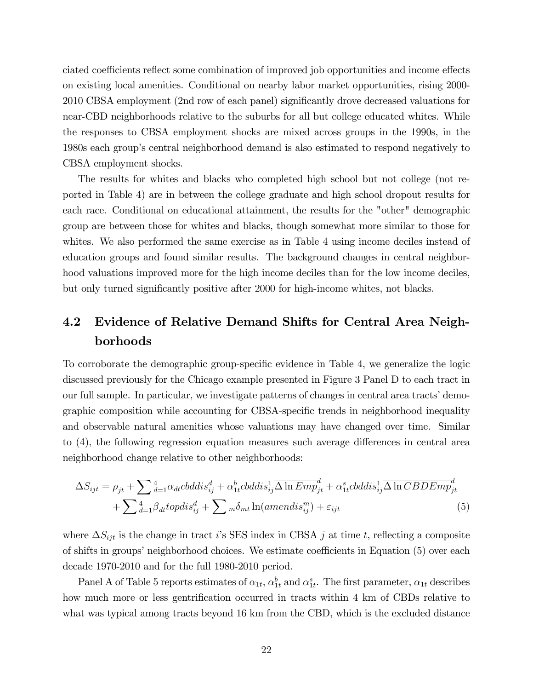ciated coefficients reflect some combination of improved job opportunities and income effects on existing local amenities. Conditional on nearby labor market opportunities, rising 2000- 2010 CBSA employment (2nd row of each panel) significantly drove decreased valuations for near-CBD neighborhoods relative to the suburbs for all but college educated whites. While the responses to CBSA employment shocks are mixed across groups in the 1990s, in the 1980s each group's central neighborhood demand is also estimated to respond negatively to CBSA employment shocks.

The results for whites and blacks who completed high school but not college (not reported in Table 4) are in between the college graduate and high school dropout results for each race. Conditional on educational attainment, the results for the "other" demographic group are between those for whites and blacks, though somewhat more similar to those for whites. We also performed the same exercise as in Table 4 using income deciles instead of education groups and found similar results. The background changes in central neighborhood valuations improved more for the high income deciles than for the low income deciles, but only turned significantly positive after 2000 for high-income whites, not blacks.

# 4.2 Evidence of Relative Demand Shifts for Central Area Neighborhoods

To corroborate the demographic group-specific evidence in Table 4, we generalize the logic discussed previously for the Chicago example presented in Figure 3 Panel D to each tract in our full sample. In particular, we investigate patterns of changes in central area tracts' demographic composition while accounting for CBSA-specific trends in neighborhood inequality and observable natural amenities whose valuations may have changed over time. Similar to  $(4)$ , the following regression equation measures such average differences in central area neighborhood change relative to other neighborhoods:

$$
\Delta S_{ijt} = \rho_{jt} + \sum_{d=1}^{4} \alpha_{dt} \text{c}bddis_{ij}^{d} + \alpha_{1t}^{b} \text{c}bddis_{ij}^{1} \overline{\Delta \ln Emp_{jt}^{d}} + \alpha_{1t}^{s} \text{c}bddis_{ij}^{1} \overline{\Delta \ln CBDEmp_{jt}^{d}}
$$

$$
+ \sum_{d=1}^{4} \beta_{dt} \text{topdis}_{ij}^{d} + \sum_{m} \delta_{mt} \ln(amendis_{ij}^{m}) + \varepsilon_{ijt}
$$
(5)

where  $\Delta S_{ijt}$  is the change in tract i's SES index in CBSA j at time t, reflecting a composite of shifts in groups' neighborhood choices. We estimate coefficients in Equation (5) over each decade 1970-2010 and for the full 1980-2010 period.

Panel A of Table 5 reports estimates of  $\alpha_{1t}$ ,  $\alpha_{1t}^b$  and  $\alpha_{1t}^s$ . The first parameter,  $\alpha_{1t}$  describes how much more or less gentrification occurred in tracts within 4 km of CBDs relative to what was typical among tracts beyond 16 km from the CBD, which is the excluded distance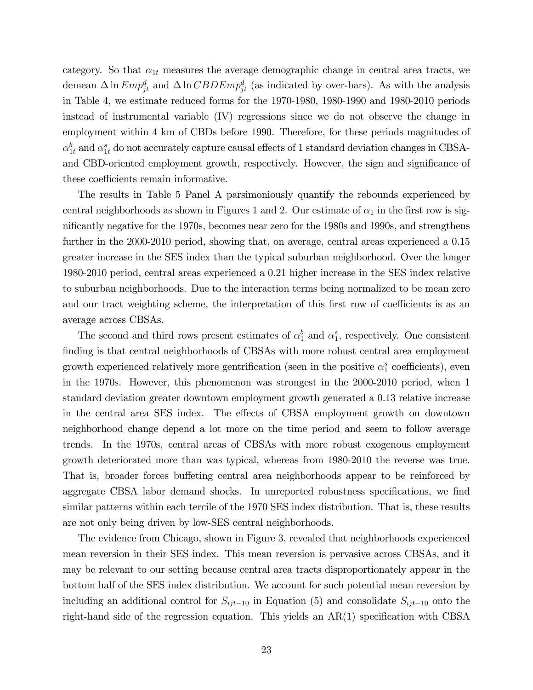category. So that  $\alpha_{1t}$  measures the average demographic change in central area tracts, we demean  $\Delta \ln Emp_{jt}^d$  and  $\Delta \ln CBDEmp_{jt}^d$  (as indicated by over-bars). As with the analysis in Table 4, we estimate reduced forms for the 1970-1980, 1980-1990 and 1980-2010 periods instead of instrumental variable (IV) regressions since we do not observe the change in employment within 4 km of CBDs before 1990. Therefore, for these periods magnitudes of  $\alpha_{1t}^{b}$  and  $\alpha_{1t}^{s}$  do not accurately capture causal effects of 1 standard deviation changes in CBSAand CBD-oriented employment growth, respectively. However, the sign and significance of these coefficients remain informative.

The results in Table 5 Panel A parsimoniously quantify the rebounds experienced by central neighborhoods as shown in Figures 1 and 2. Our estimate of  $\alpha_1$  in the first row is significantly negative for the 1970s, becomes near zero for the 1980s and 1990s, and strengthens further in the 2000-2010 period, showing that, on average, central areas experienced a 0.15 greater increase in the SES index than the typical suburban neighborhood. Over the longer 1980-2010 period, central areas experienced a 0.21 higher increase in the SES index relative to suburban neighborhoods. Due to the interaction terms being normalized to be mean zero and our tract weighting scheme, the interpretation of this first row of coefficients is as an average across CBSAs.

The second and third rows present estimates of  $\alpha_1^b$  and  $\alpha_1^s$ , respectively. One consistent finding is that central neighborhoods of CBSAs with more robust central area employment growth experienced relatively more gentrification (seen in the positive  $\alpha_1^s$  coefficients), even in the 1970s. However, this phenomenon was strongest in the 2000-2010 period, when 1 standard deviation greater downtown employment growth generated a 0.13 relative increase in the central area SES index. The effects of CBSA employment growth on downtown neighborhood change depend a lot more on the time period and seem to follow average trends. In the 1970s, central areas of CBSAs with more robust exogenous employment growth deteriorated more than was typical, whereas from 1980-2010 the reverse was true. That is, broader forces buffeting central area neighborhoods appear to be reinforced by aggregate CBSA labor demand shocks. In unreported robustness specifications, we find similar patterns within each tercile of the 1970 SES index distribution. That is, these results are not only being driven by low-SES central neighborhoods.

The evidence from Chicago, shown in Figure 3, revealed that neighborhoods experienced mean reversion in their SES index. This mean reversion is pervasive across CBSAs, and it may be relevant to our setting because central area tracts disproportionately appear in the bottom half of the SES index distribution. We account for such potential mean reversion by including an additional control for  $S_{ijt-10}$  in Equation (5) and consolidate  $S_{ijt-10}$  onto the right-hand side of the regression equation. This yields an  $AR(1)$  specification with CBSA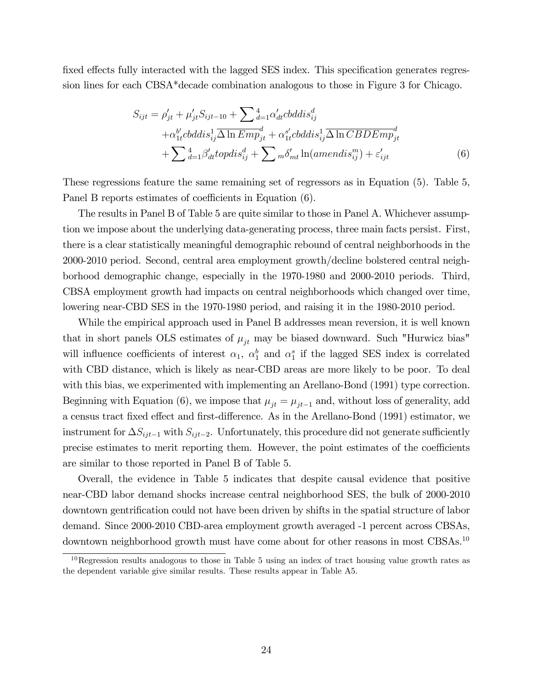fixed effects fully interacted with the lagged SES index. This specification generates regression lines for each CBSA\*decade combination analogous to those in Figure 3 for Chicago.

$$
S_{ijt} = \rho'_{jt} + \mu'_{jt} S_{ijt-10} + \sum_{d=1}^{4} \alpha'_{dt} \n\text{c}b \ddot{s}^{d}_{ij} + \alpha'_{1t} \n\text{c}b \ddot{s}^{1}_{ij} \overline{\Delta \ln \text{Emp}}_{jt} + \alpha'_{1t} \n\text{c}b \ddot{s}^{1}_{ij} \overline{\Delta \ln \text{CBDEmp}}_{jt}^{d} + \sum_{d=1}^{4} \beta'_{dt} \n\text{top} \ddot{s}^{d}_{ij} + \sum_{m} \delta'_{mt} \ln(\text{amendis}_{ij}^{m}) + \varepsilon'_{ijt}
$$
\n(6)

These regressions feature the same remaining set of regressors as in Equation (5). Table 5, Panel B reports estimates of coefficients in Equation (6).

The results in Panel B of Table 5 are quite similar to those in Panel A. Whichever assumption we impose about the underlying data-generating process, three main facts persist. First, there is a clear statistically meaningful demographic rebound of central neighborhoods in the 2000-2010 period. Second, central area employment growth/decline bolstered central neighborhood demographic change, especially in the 1970-1980 and 2000-2010 periods. Third, CBSA employment growth had impacts on central neighborhoods which changed over time, lowering near-CBD SES in the 1970-1980 period, and raising it in the 1980-2010 period.

While the empirical approach used in Panel B addresses mean reversion, it is well known that in short panels OLS estimates of  $\mu_{jt}$  may be biased downward. Such "Hurwicz bias" will influence coefficients of interest  $\alpha_1$ ,  $\alpha_1^b$  and  $\alpha_1^s$  if the lagged SES index is correlated with CBD distance, which is likely as near-CBD areas are more likely to be poor. To deal with this bias, we experimented with implementing an Arellano-Bond (1991) type correction. Beginning with Equation (6), we impose that  $\mu_{it} = \mu_{it-1}$  and, without loss of generality, add a census tract fixed effect and first-difference. As in the Arellano-Bond (1991) estimator, we instrument for  $\Delta S_{ijt-1}$  with  $S_{ijt-2}$ . Unfortunately, this procedure did not generate sufficiently precise estimates to merit reporting them. However, the point estimates of the coefficients are similar to those reported in Panel B of Table 5.

Overall, the evidence in Table 5 indicates that despite causal evidence that positive near-CBD labor demand shocks increase central neighborhood SES, the bulk of 2000-2010 downtown gentrification could not have been driven by shifts in the spatial structure of labor demand. Since 2000-2010 CBD-area employment growth averaged -1 percent across CBSAs, downtown neighborhood growth must have come about for other reasons in most CBSAs.<sup>10</sup>

 $10$ Regression results analogous to those in Table 5 using an index of tract housing value growth rates as the dependent variable give similar results. These results appear in Table A5.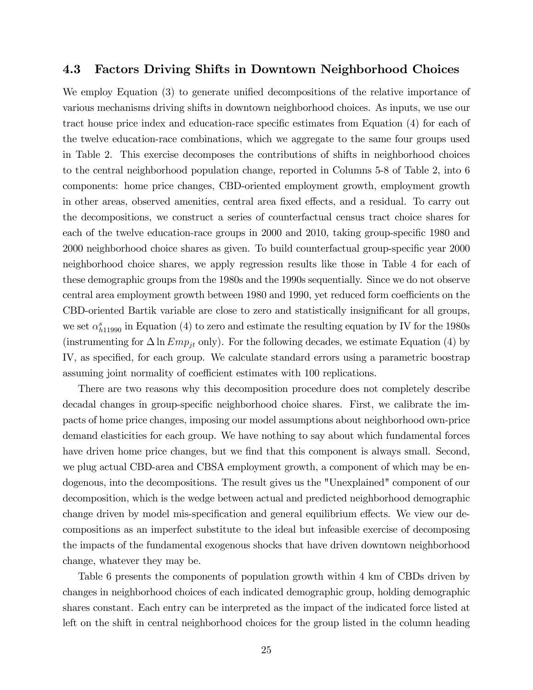#### 4.3 Factors Driving Shifts in Downtown Neighborhood Choices

We employ Equation  $(3)$  to generate unified decompositions of the relative importance of various mechanisms driving shifts in downtown neighborhood choices. As inputs, we use our tract house price index and education-race specific estimates from Equation (4) for each of the twelve education-race combinations, which we aggregate to the same four groups used in Table 2. This exercise decomposes the contributions of shifts in neighborhood choices to the central neighborhood population change, reported in Columns 5-8 of Table 2, into 6 components: home price changes, CBD-oriented employment growth, employment growth in other areas, observed amenities, central area fixed effects, and a residual. To carry out the decompositions, we construct a series of counterfactual census tract choice shares for each of the twelve education-race groups in 2000 and 2010, taking group-specific 1980 and 2000 neighborhood choice shares as given. To build counterfactual group-specific year 2000 neighborhood choice shares, we apply regression results like those in Table 4 for each of these demographic groups from the 1980s and the 1990s sequentially. Since we do not observe central area employment growth between 1980 and 1990, yet reduced form coefficients on the CBD-oriented Bartik variable are close to zero and statistically insignificant for all groups, we set  $\alpha_{h11990}^{s}$  in Equation (4) to zero and estimate the resulting equation by IV for the 1980s (instrumenting for  $\Delta \ln Emp_{it}$  only). For the following decades, we estimate Equation (4) by IV, as specified, for each group. We calculate standard errors using a parametric boostrap assuming joint normality of coefficient estimates with 100 replications.

There are two reasons why this decomposition procedure does not completely describe decadal changes in group-specific neighborhood choice shares. First, we calibrate the impacts of home price changes, imposing our model assumptions about neighborhood own-price demand elasticities for each group. We have nothing to say about which fundamental forces have driven home price changes, but we find that this component is always small. Second, we plug actual CBD-area and CBSA employment growth, a component of which may be endogenous, into the decompositions. The result gives us the "Unexplained" component of our decomposition, which is the wedge between actual and predicted neighborhood demographic change driven by model mis-specification and general equilibrium effects. We view our decompositions as an imperfect substitute to the ideal but infeasible exercise of decomposing the impacts of the fundamental exogenous shocks that have driven downtown neighborhood change, whatever they may be.

Table 6 presents the components of population growth within 4 km of CBDs driven by changes in neighborhood choices of each indicated demographic group, holding demographic shares constant. Each entry can be interpreted as the impact of the indicated force listed at left on the shift in central neighborhood choices for the group listed in the column heading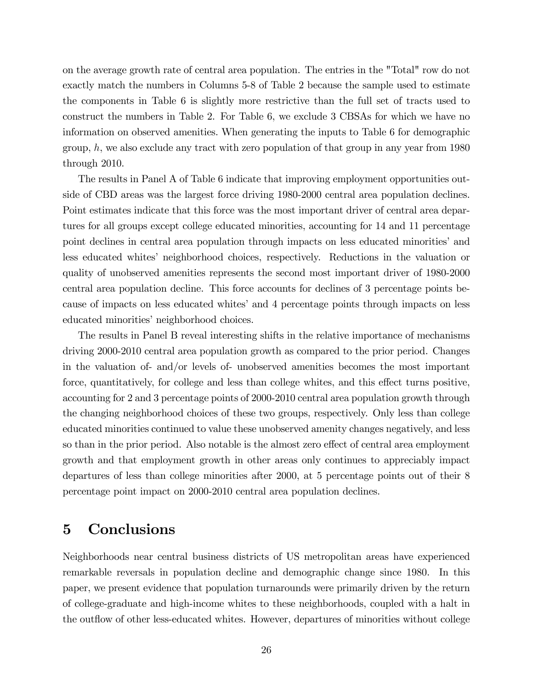on the average growth rate of central area population. The entries in the "Total" row do not exactly match the numbers in Columns 5-8 of Table 2 because the sample used to estimate the components in Table 6 is slightly more restrictive than the full set of tracts used to construct the numbers in Table 2. For Table 6, we exclude 3 CBSAs for which we have no information on observed amenities. When generating the inputs to Table 6 for demographic group,  $h$ , we also exclude any tract with zero population of that group in any year from 1980 through 2010.

The results in Panel A of Table 6 indicate that improving employment opportunities outside of CBD areas was the largest force driving 1980-2000 central area population declines. Point estimates indicate that this force was the most important driver of central area departures for all groups except college educated minorities, accounting for 14 and 11 percentage point declines in central area population through impacts on less educated minorities' and less educated whitesí neighborhood choices, respectively. Reductions in the valuation or quality of unobserved amenities represents the second most important driver of 1980-2000 central area population decline. This force accounts for declines of 3 percentage points because of impacts on less educated whites' and 4 percentage points through impacts on less educated minorities' neighborhood choices.

The results in Panel B reveal interesting shifts in the relative importance of mechanisms driving 2000-2010 central area population growth as compared to the prior period. Changes in the valuation of- and/or levels of- unobserved amenities becomes the most important force, quantitatively, for college and less than college whites, and this effect turns positive, accounting for 2 and 3 percentage points of 2000-2010 central area population growth through the changing neighborhood choices of these two groups, respectively. Only less than college educated minorities continued to value these unobserved amenity changes negatively, and less so than in the prior period. Also notable is the almost zero effect of central area employment growth and that employment growth in other areas only continues to appreciably impact departures of less than college minorities after 2000, at 5 percentage points out of their 8 percentage point impact on 2000-2010 central area population declines.

# 5 Conclusions

Neighborhoods near central business districts of US metropolitan areas have experienced remarkable reversals in population decline and demographic change since 1980. In this paper, we present evidence that population turnarounds were primarily driven by the return of college-graduate and high-income whites to these neighborhoods, coupled with a halt in the outflow of other less-educated whites. However, departures of minorities without college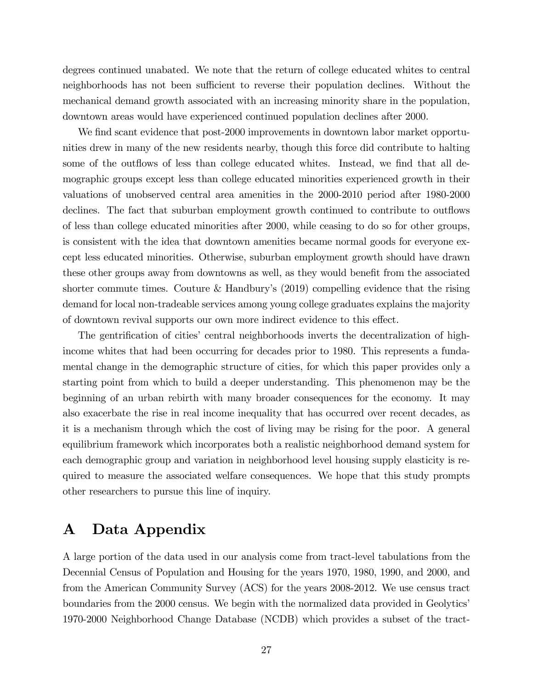degrees continued unabated. We note that the return of college educated whites to central neighborhoods has not been sufficient to reverse their population declines. Without the mechanical demand growth associated with an increasing minority share in the population, downtown areas would have experienced continued population declines after 2000.

We find scant evidence that post-2000 improvements in downtown labor market opportunities drew in many of the new residents nearby, though this force did contribute to halting some of the outflows of less than college educated whites. Instead, we find that all demographic groups except less than college educated minorities experienced growth in their valuations of unobserved central area amenities in the 2000-2010 period after 1980-2000 declines. The fact that suburban employment growth continued to contribute to outflows of less than college educated minorities after 2000, while ceasing to do so for other groups, is consistent with the idea that downtown amenities became normal goods for everyone except less educated minorities. Otherwise, suburban employment growth should have drawn these other groups away from downtowns as well, as they would benefit from the associated shorter commute times. Couture  $&$  Handbury's (2019) compelling evidence that the rising demand for local non-tradeable services among young college graduates explains the majority of downtown revival supports our own more indirect evidence to this effect.

The gentrification of cities' central neighborhoods inverts the decentralization of highincome whites that had been occurring for decades prior to 1980. This represents a fundamental change in the demographic structure of cities, for which this paper provides only a starting point from which to build a deeper understanding. This phenomenon may be the beginning of an urban rebirth with many broader consequences for the economy. It may also exacerbate the rise in real income inequality that has occurred over recent decades, as it is a mechanism through which the cost of living may be rising for the poor. A general equilibrium framework which incorporates both a realistic neighborhood demand system for each demographic group and variation in neighborhood level housing supply elasticity is required to measure the associated welfare consequences. We hope that this study prompts other researchers to pursue this line of inquiry.

# A Data Appendix

A large portion of the data used in our analysis come from tract-level tabulations from the Decennial Census of Population and Housing for the years 1970, 1980, 1990, and 2000, and from the American Community Survey (ACS) for the years 2008-2012. We use census tract boundaries from the 2000 census. We begin with the normalized data provided in Geolytics' 1970-2000 Neighborhood Change Database (NCDB) which provides a subset of the tract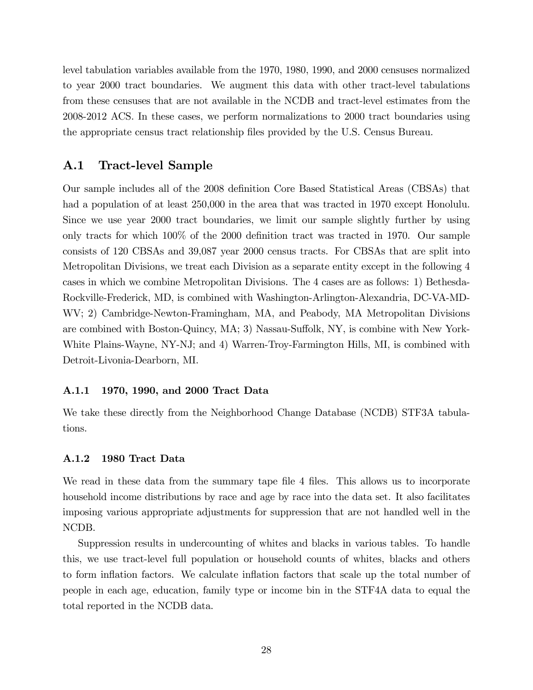level tabulation variables available from the 1970, 1980, 1990, and 2000 censuses normalized to year 2000 tract boundaries. We augment this data with other tract-level tabulations from these censuses that are not available in the NCDB and tract-level estimates from the 2008-2012 ACS. In these cases, we perform normalizations to 2000 tract boundaries using the appropriate census tract relationship Öles provided by the U.S. Census Bureau.

#### A.1 Tract-level Sample

Our sample includes all of the 2008 definition Core Based Statistical Areas (CBSAs) that had a population of at least  $250,000$  in the area that was tracted in 1970 except Honolulu. Since we use year 2000 tract boundaries, we limit our sample slightly further by using only tracts for which  $100\%$  of the 2000 definition tract was tracted in 1970. Our sample consists of 120 CBSAs and 39,087 year 2000 census tracts. For CBSAs that are split into Metropolitan Divisions, we treat each Division as a separate entity except in the following 4 cases in which we combine Metropolitan Divisions. The 4 cases are as follows: 1) Bethesda-Rockville-Frederick, MD, is combined with Washington-Arlington-Alexandria, DC-VA-MD-WV; 2) Cambridge-Newton-Framingham, MA, and Peabody, MA Metropolitan Divisions are combined with Boston-Quincy,  $MA$ ; 3) Nassau-Suffolk, NY, is combine with New York-White Plains-Wayne, NY-NJ; and 4) Warren-Troy-Farmington Hills, MI, is combined with Detroit-Livonia-Dearborn, MI.

#### A.1.1 1970, 1990, and 2000 Tract Data

We take these directly from the Neighborhood Change Database (NCDB) STF3A tabulations.

#### A.1.2 1980 Tract Data

We read in these data from the summary tape file 4 files. This allows us to incorporate household income distributions by race and age by race into the data set. It also facilitates imposing various appropriate adjustments for suppression that are not handled well in the NCDB.

Suppression results in undercounting of whites and blacks in various tables. To handle this, we use tract-level full population or household counts of whites, blacks and others to form inflation factors. We calculate inflation factors that scale up the total number of people in each age, education, family type or income bin in the STF4A data to equal the total reported in the NCDB data.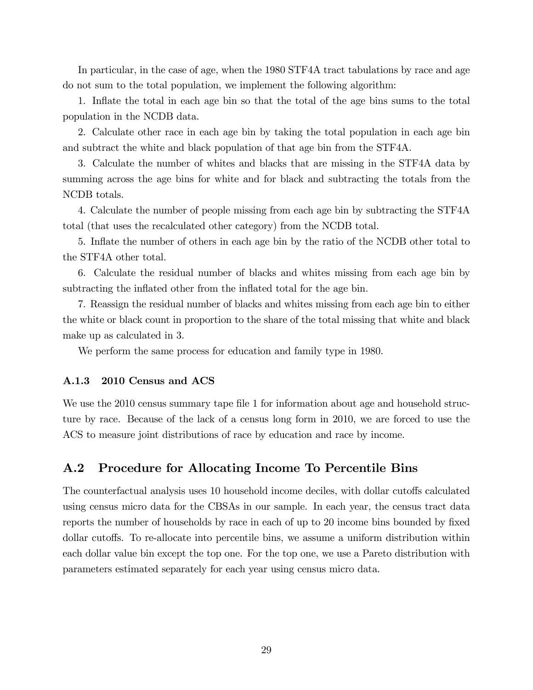In particular, in the case of age, when the 1980 STF4A tract tabulations by race and age do not sum to the total population, we implement the following algorithm:

1. Inflate the total in each age bin so that the total of the age bins sums to the total population in the NCDB data.

2. Calculate other race in each age bin by taking the total population in each age bin and subtract the white and black population of that age bin from the STF4A.

3. Calculate the number of whites and blacks that are missing in the STF4A data by summing across the age bins for white and for black and subtracting the totals from the NCDB totals.

4. Calculate the number of people missing from each age bin by subtracting the STF4A total (that uses the recalculated other category) from the NCDB total.

5. Inflate the number of others in each age bin by the ratio of the NCDB other total to the STF4A other total.

6. Calculate the residual number of blacks and whites missing from each age bin by subtracting the inflated other from the inflated total for the age bin.

7. Reassign the residual number of blacks and whites missing from each age bin to either the white or black count in proportion to the share of the total missing that white and black make up as calculated in 3.

We perform the same process for education and family type in 1980.

#### A.1.3 2010 Census and ACS

We use the 2010 census summary tape file 1 for information about age and household structure by race. Because of the lack of a census long form in 2010, we are forced to use the ACS to measure joint distributions of race by education and race by income.

#### A.2 Procedure for Allocating Income To Percentile Bins

The counterfactual analysis uses 10 household income deciles, with dollar cutoffs calculated using census micro data for the CBSAs in our sample. In each year, the census tract data reports the number of households by race in each of up to 20 income bins bounded by fixed dollar cutoffs. To re-allocate into percentile bins, we assume a uniform distribution within each dollar value bin except the top one. For the top one, we use a Pareto distribution with parameters estimated separately for each year using census micro data.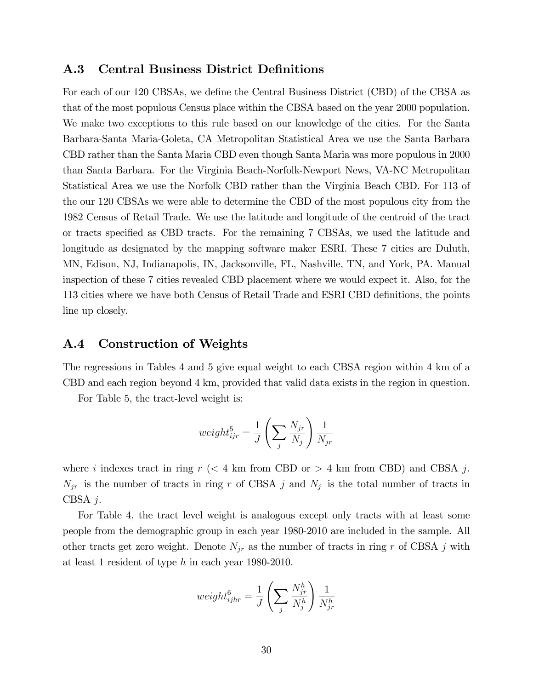#### A.3 Central Business District Definitions

For each of our 120 CBSAs, we define the Central Business District (CBD) of the CBSA as that of the most populous Census place within the CBSA based on the year 2000 population. We make two exceptions to this rule based on our knowledge of the cities. For the Santa Barbara-Santa Maria-Goleta, CA Metropolitan Statistical Area we use the Santa Barbara CBD rather than the Santa Maria CBD even though Santa Maria was more populous in 2000 than Santa Barbara. For the Virginia Beach-Norfolk-Newport News, VA-NC Metropolitan Statistical Area we use the Norfolk CBD rather than the Virginia Beach CBD. For 113 of the our 120 CBSAs we were able to determine the CBD of the most populous city from the 1982 Census of Retail Trade. We use the latitude and longitude of the centroid of the tract or tracts specified as CBD tracts. For the remaining 7 CBSAs, we used the latitude and longitude as designated by the mapping software maker ESRI. These 7 cities are Duluth, MN, Edison, NJ, Indianapolis, IN, Jacksonville, FL, Nashville, TN, and York, PA. Manual inspection of these 7 cities revealed CBD placement where we would expect it. Also, for the 113 cities where we have both Census of Retail Trade and ESRI CBD definitions, the points line up closely.

#### A.4 Construction of Weights

The regressions in Tables 4 and 5 give equal weight to each CBSA region within 4 km of a CBD and each region beyond 4 km, provided that valid data exists in the region in question.

For Table 5, the tract-level weight is:

$$
weight_{ijr}^5 = \frac{1}{J} \left( \sum_j \frac{N_{jr}}{N_j} \right) \frac{1}{N_{jr}}
$$

where i indexes tract in ring  $r$  ( $\lt 4$  km from CBD or  $> 4$  km from CBD) and CBSA j.  $N_{jr}$  is the number of tracts in ring r of CBSA j and  $N_j$  is the total number of tracts in CBSA j.

For Table 4, the tract level weight is analogous except only tracts with at least some people from the demographic group in each year 1980-2010 are included in the sample. All other tracts get zero weight. Denote  $N_{jr}$  as the number of tracts in ring r of CBSA j with at least 1 resident of type h in each year 1980-2010.

$$
weight_{ijhr}^6 = \frac{1}{J} \left( \sum_j \frac{N_{jr}^h}{N_j^h} \right) \frac{1}{N_{jr}^h}
$$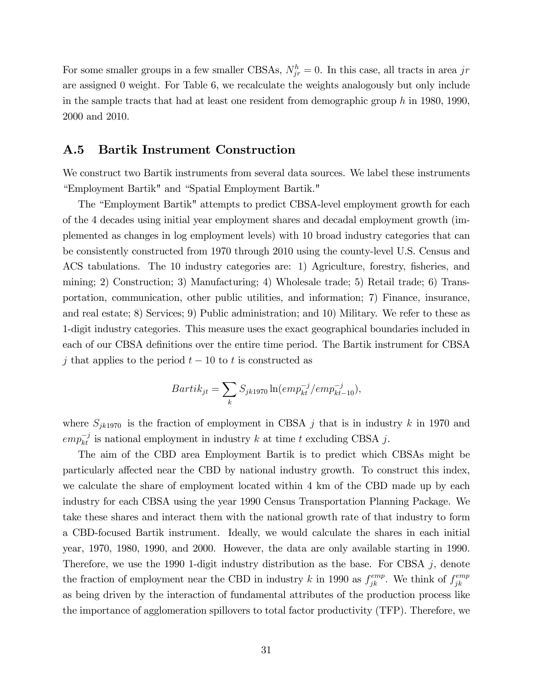For some smaller groups in a few smaller CBSAs,  $N_{jr}^h = 0$ . In this case, all tracts in area jr are assigned 0 weight. For Table 6, we recalculate the weights analogously but only include in the sample tracts that had at least one resident from demographic group  $h$  in 1980, 1990, 2000 and 2010.

#### A.5 Bartik Instrument Construction

We construct two Bartik instruments from several data sources. We label these instruments "Employment Bartik" and "Spatial Employment Bartik."

The "Employment Bartik" attempts to predict CBSA-level employment growth for each of the 4 decades using initial year employment shares and decadal employment growth (implemented as changes in log employment levels) with 10 broad industry categories that can be consistently constructed from 1970 through 2010 using the county-level U.S. Census and ACS tabulations. The 10 industry categories are: 1) Agriculture, forestry, fisheries, and mining; 2) Construction; 3) Manufacturing; 4) Wholesale trade; 5) Retail trade; 6) Transportation, communication, other public utilities, and information; 7) Finance, insurance, and real estate; 8) Services; 9) Public administration; and 10) Military. We refer to these as 1-digit industry categories. This measure uses the exact geographical boundaries included in each of our CBSA definitions over the entire time period. The Bartik instrument for CBSA j that applies to the period  $t-10$  to t is constructed as

$$
Bartik_{jt} = \sum_{k} S_{jk1970} \ln(emp_{kt}^{-j}/emp_{kt-10}^{-j}),
$$

where  $S_{jk1970}$  is the fraction of employment in CBSA j that is in industry k in 1970 and  $emp_{kt}^{-j}$  is national employment in industry k at time t excluding CBSA j.

The aim of the CBD area Employment Bartik is to predict which CBSAs might be particularly affected near the CBD by national industry growth. To construct this index, we calculate the share of employment located within 4 km of the CBD made up by each industry for each CBSA using the year 1990 Census Transportation Planning Package. We take these shares and interact them with the national growth rate of that industry to form a CBD-focused Bartik instrument. Ideally, we would calculate the shares in each initial year, 1970, 1980, 1990, and 2000. However, the data are only available starting in 1990. Therefore, we use the 1990 1-digit industry distribution as the base. For CBSA  $j$ , denote the fraction of employment near the CBD in industry k in 1990 as  $f_{jk}^{emp}$ . We think of  $f_{jk}^{emp}$ jk as being driven by the interaction of fundamental attributes of the production process like the importance of agglomeration spillovers to total factor productivity (TFP). Therefore, we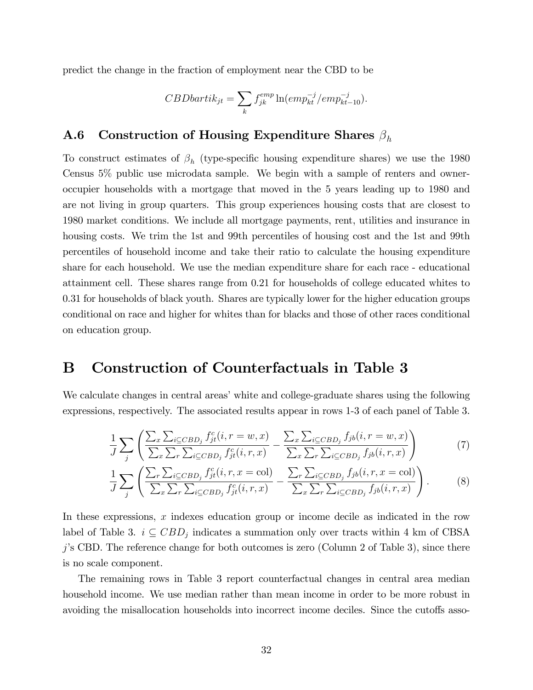predict the change in the fraction of employment near the CBD to be

$$
CBDbartik_{jt} = \sum_{k} f_{jk}^{emp} \ln(emp_{kt}^{-j}/emp_{kt-10}^{-j}).
$$

# **A.6** Construction of Housing Expenditure Shares  $\beta_h$

To construct estimates of  $\beta_h$  (type-specific housing expenditure shares) we use the 1980 Census 5% public use microdata sample. We begin with a sample of renters and owneroccupier households with a mortgage that moved in the 5 years leading up to 1980 and are not living in group quarters. This group experiences housing costs that are closest to 1980 market conditions. We include all mortgage payments, rent, utilities and insurance in housing costs. We trim the 1st and 99th percentiles of housing cost and the 1st and 99th percentiles of household income and take their ratio to calculate the housing expenditure share for each household. We use the median expenditure share for each race - educational attainment cell. These shares range from 0.21 for households of college educated whites to 0.31 for households of black youth. Shares are typically lower for the higher education groups conditional on race and higher for whites than for blacks and those of other races conditional on education group.

## B Construction of Counterfactuals in Table 3

We calculate changes in central areas' white and college-graduate shares using the following expressions, respectively. The associated results appear in rows 1-3 of each panel of Table 3.

$$
\frac{1}{J} \sum_{j} \left( \frac{\sum_{x} \sum_{i \subseteq CBD_j} f_{jt}^c(i, r = w, x)}{\sum_{x} \sum_{i \subseteq CBD_j} f_{jt}^c(i, r, x)} - \frac{\sum_{x} \sum_{i \subseteq CBD_j} f_{jb}(i, r = w, x)}{\sum_{x} \sum_{i \subseteq CBD_j} f_{jb}(i, r, x)} \right)
$$
(7)

$$
\frac{1}{J} \sum_{j} \left( \frac{\sum_{r} \sum_{i \subseteq CBD_j} f_{jt}^c(i, r, x = col)}{\sum_{x} \sum_{r} \sum_{i \subseteq CBD_j} f_{jt}^c(i, r, x)} - \frac{\sum_{r} \sum_{i \subseteq CBD_j} f_{jb}(i, r, x = col)}{\sum_{x} \sum_{r} \sum_{i \subseteq CBD_j} f_{jb}(i, r, x)} \right).
$$
(8)

In these expressions,  $x$  indexes education group or income decile as indicated in the row label of Table 3.  $i \subseteq CBD_j$  indicates a summation only over tracts within 4 km of CBSA  $j$ 's CBD. The reference change for both outcomes is zero (Column 2 of Table 3), since there is no scale component.

The remaining rows in Table 3 report counterfactual changes in central area median household income. We use median rather than mean income in order to be more robust in avoiding the misallocation households into incorrect income deciles. Since the cutoffs asso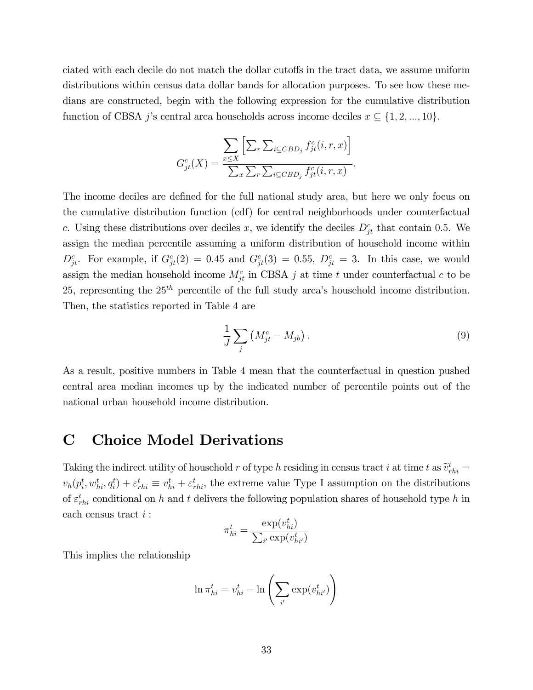ciated with each decile do not match the dollar cutoffs in the tract data, we assume uniform distributions within census data dollar bands for allocation purposes. To see how these medians are constructed, begin with the following expression for the cumulative distribution function of CBSA *j*'s central area households across income deciles  $x \subseteq \{1, 2, ..., 10\}$ .

$$
G_{jt}^{c}(X) = \frac{\sum\limits_{x \leq X} \left[ \sum_{r} \sum_{i \subseteq CBD_j} f_{jt}^{c}(i, r, x) \right]}{\sum_{x} \sum_{r} \sum_{i \subseteq CBD_j} f_{jt}^{c}(i, r, x)}.
$$

The income deciles are defined for the full national study area, but here we only focus on the cumulative distribution function (cdf) for central neighborhoods under counterfactual c. Using these distributions over deciles x, we identify the deciles  $D_{jt}^c$  that contain 0.5. We assign the median percentile assuming a uniform distribution of household income within  $D_{jt}^c$ . For example, if  $G_{jt}^c(2) = 0.45$  and  $G_{jt}^c(3) = 0.55$ ,  $D_{jt}^c = 3$ . In this case, we would assign the median household income  $M_{jt}^c$  in CBSA j at time t under counterfactual c to be 25, representing the  $25<sup>th</sup>$  percentile of the full study area's household income distribution. Then, the statistics reported in Table 4 are

$$
\frac{1}{J}\sum_{j}\left(M_{jt}^{c}-M_{jb}\right). \tag{9}
$$

As a result, positive numbers in Table 4 mean that the counterfactual in question pushed central area median incomes up by the indicated number of percentile points out of the national urban household income distribution.

### C Choice Model Derivations

Taking the indirect utility of household r of type h residing in census tract i at time t as  $\tilde{v}_{rhi}^t =$  $v_h(p_i^t, w_{hi}^t, q_i^t) + \varepsilon_{rhi}^t \equiv v_{hi}^t + \varepsilon_{rhi}^t$ , the extreme value Type I assumption on the distributions of  $\varepsilon_{rhi}^t$  conditional on h and t delivers the following population shares of household type h in each census tract i :

$$
\pi_{hi}^t = \frac{\exp(v_{hi}^t)}{\sum_{i'} \exp(v_{hi'}^t)}
$$

This implies the relationship

$$
\ln \pi^t_{hi} = v^t_{hi} - \ln \left( \sum_{i'} \exp(v^t_{hi'}) \right)
$$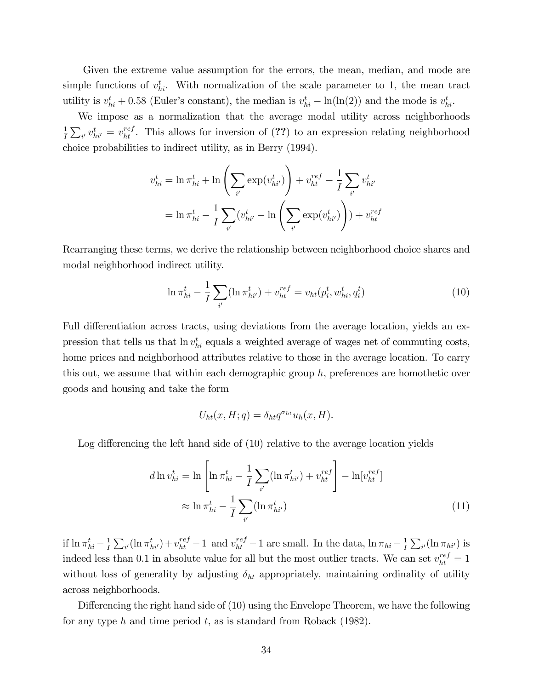Given the extreme value assumption for the errors, the mean, median, and mode are simple functions of  $v_{hi}^t$ . With normalization of the scale parameter to 1, the mean tract utility is  $v_{hi}^t + 0.58$  (Euler's constant), the median is  $v_{hi}^t - \ln(\ln(2))$  and the mode is  $v_{hi}^t$ .

We impose as a normalization that the average modal utility across neighborhoods 1  $\frac{1}{I}\sum_{i'} v_{hi'}^t = v_{ht}^{ref}$ . This allows for inversion of (??) to an expression relating neighborhood choice probabilities to indirect utility, as in Berry (1994).

$$
v_{hi}^t = \ln \pi_{hi}^t + \ln \left( \sum_{i'} \exp(v_{hi'}^t) \right) + v_{ht}^{ref} - \frac{1}{I} \sum_{i'} v_{hi'}^t
$$

$$
= \ln \pi_{hi}^t - \frac{1}{I} \sum_{i'} (v_{hi'}^t - \ln \left( \sum_{i'} \exp(v_{hi'}^t) \right)) + v_{ht}^{ref}
$$

Rearranging these terms, we derive the relationship between neighborhood choice shares and modal neighborhood indirect utility.

$$
\ln \pi_{hi}^t - \frac{1}{I} \sum_{i'} (\ln \pi_{hi'}^t) + v_{ht}^{ref} = v_{ht}(p_i^t, w_{hi}^t, q_i^t)
$$
\n(10)

Full differentiation across tracts, using deviations from the average location, yields an expression that tells us that  $\ln v_{hi}^t$  equals a weighted average of wages net of commuting costs, home prices and neighborhood attributes relative to those in the average location. To carry this out, we assume that within each demographic group  $h$ , preferences are homothetic over goods and housing and take the form

$$
U_{ht}(x, H; q) = \delta_{ht} q^{\sigma_{ht}} u_h(x, H).
$$

Log differencing the left hand side of  $(10)$  relative to the average location yields

$$
d\ln v_{hi}^t = \ln \left[ \ln \pi_{hi}^t - \frac{1}{I} \sum_{i'} (\ln \pi_{hi'}^t) + v_{ht}^{ref} \right] - \ln[v_{ht}^{ref}]
$$
  

$$
\approx \ln \pi_{hi}^t - \frac{1}{I} \sum_{i'} (\ln \pi_{hi'}^t)
$$
 (11)

if  $\ln \pi_{hi}^t - \frac{1}{I}$  $\frac{1}{I}\sum_{i'}(\ln \pi_{hi'}^t) + v_{ht}^{ref} - 1$  and  $v_{ht}^{ref} - 1$  are small. In the data,  $\ln \pi_{hi} - \frac{1}{I}$  $\frac{1}{I}\sum_{i'}(\ln \pi_{hi'})$  is indeed less than 0.1 in absolute value for all but the most outlier tracts. We can set  $v_{ht}^{ref} = 1$ without loss of generality by adjusting  $\delta_{ht}$  appropriately, maintaining ordinality of utility across neighborhoods.

Differencing the right hand side of  $(10)$  using the Envelope Theorem, we have the following for any type h and time period t, as is standard from Roback  $(1982)$ .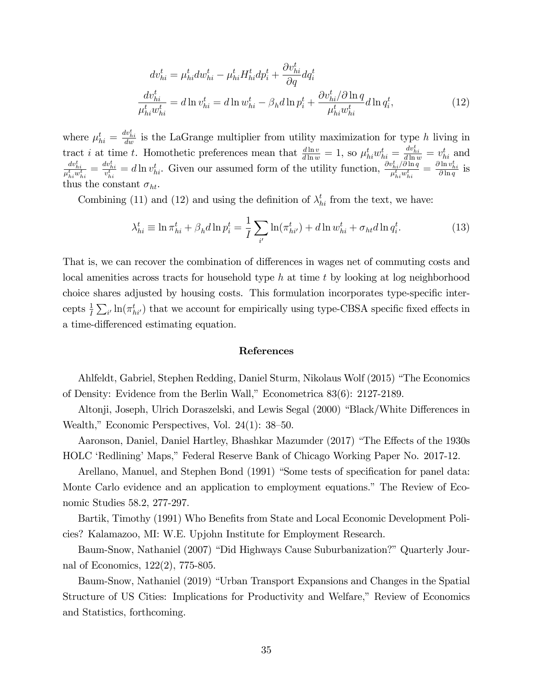$$
dv_{hi}^t = \mu_{hi}^t dw_{hi}^t - \mu_{hi}^t H_{hi}^t dp_i^t + \frac{\partial v_{hi}^t}{\partial q} dq_i^t
$$
  

$$
\frac{dv_{hi}^t}{\mu_{hi}^t w_{hi}^t} = d \ln v_{hi}^t = d \ln w_{hi}^t - \beta_h d \ln p_i^t + \frac{\partial v_{hi}^t}{\mu_{hi}^t w_{hi}^t} d \ln q_i^t,
$$
 (12)

where  $\mu_{hi}^t = \frac{dv_{hi}^t}{dw}$  is the LaGrange multiplier from utility maximization for type h living in tract *i* at time *t*. Homothetic preferences mean that  $\frac{d \ln v}{d \ln w} = 1$ , so  $\mu_{hi}^t w_{hi}^t = \frac{dv_{hi}^t}{d \ln w} = v_{hi}^t$  and  $\frac{dv_{hi}^t}{\mu_{hi}^t w_{hi}^t} = \frac{dv_{hi}^t}{v_{hi}^t} = d\ln v_{hi}^t$ . Given our assumed form of the utility function,  $\frac{\partial v_{hi}^t/\partial \ln q}{\mu_{hi}^t w_{hi}^t}$  $\frac{\psi_{hi}^t/\partial\ln q}{\mu_{hi}^t w_{hi}^t}=\frac{\partial\ln v_{hi}^t}{\partial\ln q}$  is thus the constant  $\sigma_{ht}$ .

Combining (11) and (12) and using the definition of  $\lambda_{hi}^t$  from the text, we have:

$$
\lambda_{hi}^t \equiv \ln \pi_{hi}^t + \beta_h d \ln p_i^t = \frac{1}{I} \sum_{i'} \ln(\pi_{hi'}^t) + d \ln w_{hi}^t + \sigma_{ht} d \ln q_i^t.
$$
 (13)

That is, we can recover the combination of differences in wages net of commuting costs and local amenities across tracts for household type h at time t by looking at log neighborhood choice shares adjusted by housing costs. This formulation incorporates type-specific intercepts  $\frac{1}{I}\sum_{i'}\ln(\pi_{hi'}^t)$  that we account for empirically using type-CBSA specific fixed effects in a time-differenced estimating equation.

#### References

Ahlfeldt, Gabriel, Stephen Redding, Daniel Sturm, Nikolaus Wolf (2015) "The Economics of Density: Evidence from the Berlin Wall," Econometrica  $83(6)$ : 2127-2189.

Altonji, Joseph, Ulrich Doraszelski, and Lewis Segal (2000) "Black/White Differences in Wealth," Economic Perspectives, Vol.  $24(1)$ :  $38-50$ .

Aaronson, Daniel, Daniel Hartley, Bhashkar Mazumder (2017) "The Effects of the 1930s HOLC 'Redlining' Maps," Federal Reserve Bank of Chicago Working Paper No. 2017-12.

Arellano, Manuel, and Stephen Bond (1991) "Some tests of specification for panel data: Monte Carlo evidence and an application to employment equations." The Review of Economic Studies 58.2, 277-297.

Bartik, Timothy (1991) Who Benefits from State and Local Economic Development Policies? Kalamazoo, MI: W.E. Upjohn Institute for Employment Research.

Baum-Snow, Nathaniel (2007) "Did Highways Cause Suburbanization?" Quarterly Journal of Economics, 122(2), 775-805.

Baum-Snow, Nathaniel (2019) "Urban Transport Expansions and Changes in the Spatial Structure of US Cities: Implications for Productivity and Welfare," Review of Economics and Statistics, forthcoming.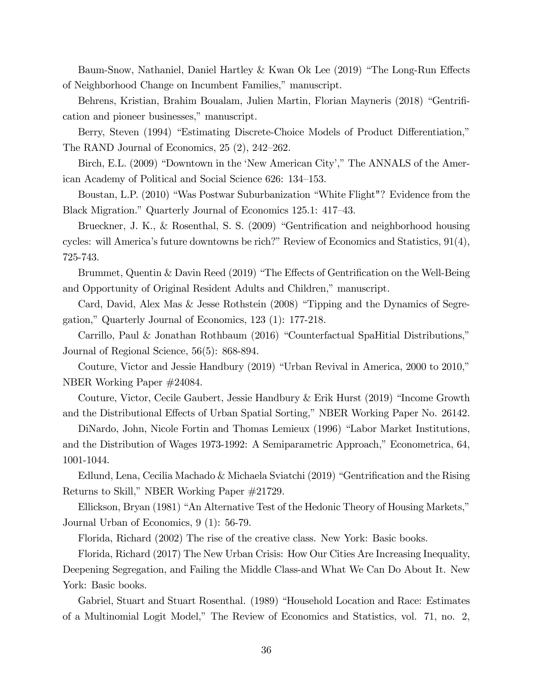Baum-Snow, Nathaniel, Daniel Hartley & Kwan Ok Lee (2019) "The Long-Run Effects of Neighborhood Change on Incumbent Families," manuscript.

Behrens, Kristian, Brahim Boualam, Julien Martin, Florian Mayneris (2018) "Gentrification and pioneer businesses," manuscript.

Berry, Steven (1994) "Estimating Discrete-Choice Models of Product Differentiation," The RAND Journal of Economics,  $25(2)$ ,  $242-262$ .

Birch, E.L. (2009) "Downtown in the 'New American City'," The ANNALS of the American Academy of Political and Social Science 626: 134–153.

Boustan, L.P. (2010) "Was Postwar Suburbanization "White Flight"? Evidence from the Black Migration." Quarterly Journal of Economics 125.1: 417–43.

Brueckner, J. K., & Rosenthal, S. S. (2009) "Gentrification and neighborhood housing cycles: will America's future downtowns be rich?" Review of Economics and Statistics,  $91(4)$ , 725-743.

Brummet, Quentin & Davin Reed (2019) "The Effects of Gentrification on the Well-Being and Opportunity of Original Resident Adults and Children," manuscript.

Card, David, Alex Mas & Jesse Rothstein  $(2008)$  "Tipping and the Dynamics of Segregation," Quarterly Journal of Economics,  $123$  (1): 177-218.

Carrillo, Paul & Jonathan Rothbaum (2016) "Counterfactual SpaHitial Distributions," Journal of Regional Science, 56(5): 868-894.

Couture, Victor and Jessie Handbury  $(2019)$  "Urban Revival in America, 2000 to 2010," NBER Working Paper #24084.

Couture, Victor, Cecile Gaubert, Jessie Handbury & Erik Hurst  $(2019)$  "Income Growth and the Distributional Effects of Urban Spatial Sorting," NBER Working Paper No. 26142.

DiNardo, John, Nicole Fortin and Thomas Lemieux (1996) "Labor Market Institutions, and the Distribution of Wages 1973-1992: A Semiparametric Approach," Econometrica, 64, 1001-1044.

Edlund, Lena, Cecilia Machado & Michaela Sviatchi (2019) "Gentrification and the Rising Returns to Skill," NBER Working Paper #21729.

Ellickson, Bryan (1981) "An Alternative Test of the Hedonic Theory of Housing Markets," Journal Urban of Economics, 9 (1): 56-79.

Florida, Richard (2002) The rise of the creative class. New York: Basic books.

Florida, Richard (2017) The New Urban Crisis: How Our Cities Are Increasing Inequality, Deepening Segregation, and Failing the Middle Class-and What We Can Do About It. New York: Basic books.

Gabriel, Stuart and Stuart Rosenthal. (1989) "Household Location and Race: Estimates of a Multinomial Logit Model,î The Review of Economics and Statistics, vol. 71, no. 2,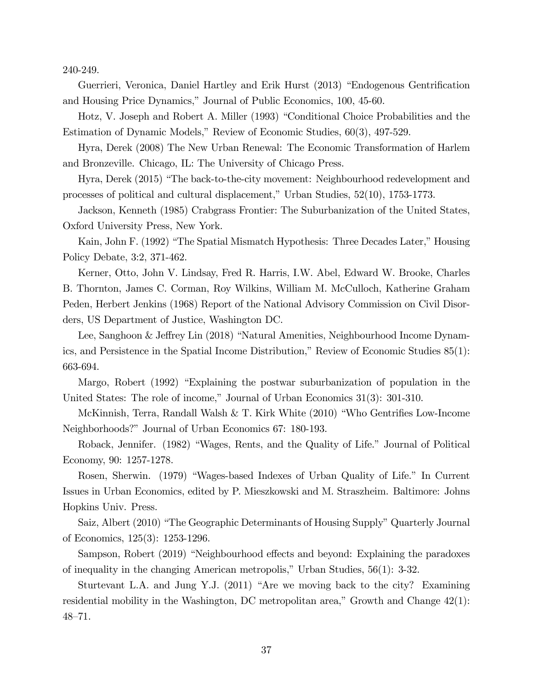240-249.

Guerrieri, Veronica, Daniel Hartley and Erik Hurst (2013) "Endogenous Gentrification and Housing Price Dynamics," Journal of Public Economics, 100, 45-60.

Hotz, V. Joseph and Robert A. Miller (1993) "Conditional Choice Probabilities and the Estimation of Dynamic Models," Review of Economic Studies, 60(3), 497-529.

Hyra, Derek (2008) The New Urban Renewal: The Economic Transformation of Harlem and Bronzeville. Chicago, IL: The University of Chicago Press.

Hyra, Derek (2015) "The back-to-the-city movement: Neighbourhood redevelopment and processes of political and cultural displacement," Urban Studies,  $52(10)$ ,  $1753-1773$ .

Jackson, Kenneth (1985) Crabgrass Frontier: The Suburbanization of the United States, Oxford University Press, New York.

Kain, John F. (1992) "The Spatial Mismatch Hypothesis: Three Decades Later," Housing Policy Debate, 3:2, 371-462.

Kerner, Otto, John V. Lindsay, Fred R. Harris, I.W. Abel, Edward W. Brooke, Charles B. Thornton, James C. Corman, Roy Wilkins, William M. McCulloch, Katherine Graham Peden, Herbert Jenkins (1968) Report of the National Advisory Commission on Civil Disorders, US Department of Justice, Washington DC.

Lee, Sanghoon & Jeffrey Lin (2018) "Natural Amenities, Neighbourhood Income Dynamics, and Persistence in the Spatial Income Distribution," Review of Economic Studies  $85(1)$ : 663-694.

Margo, Robert (1992) "Explaining the postwar suburbanization of population in the United States: The role of income," Journal of Urban Economics  $31(3)$ :  $301-310$ .

McKinnish, Terra, Randall Walsh & T. Kirk White (2010) "Who Gentrifies Low-Income Neighborhoods?" Journal of Urban Economics 67: 180-193.

Roback, Jennifer. (1982) "Wages, Rents, and the Quality of Life." Journal of Political Economy, 90: 1257-1278.

Rosen, Sherwin. (1979) "Wages-based Indexes of Urban Quality of Life." In Current Issues in Urban Economics, edited by P. Mieszkowski and M. Straszheim. Baltimore: Johns Hopkins Univ. Press.

Saiz, Albert (2010) "The Geographic Determinants of Housing Supply" Quarterly Journal of Economics, 125(3): 1253-1296.

Sampson, Robert (2019) "Neighbourhood effects and beyond: Explaining the paradoxes of inequality in the changing American metropolis," Urban Studies,  $56(1)$ : 3-32.

Sturtevant L.A. and Jung Y.J. (2011) "Are we moving back to the city? Examining residential mobility in the Washington, DC metropolitan area," Growth and Change  $42(1)$ :  $48 - 71.$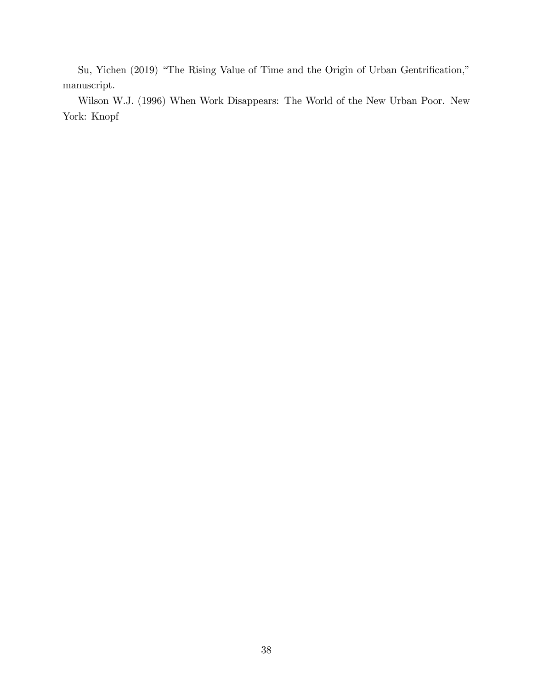Su, Yichen (2019) "The Rising Value of Time and the Origin of Urban Gentrification," manuscript.

Wilson W.J. (1996) When Work Disappears: The World of the New Urban Poor. New York: Knopf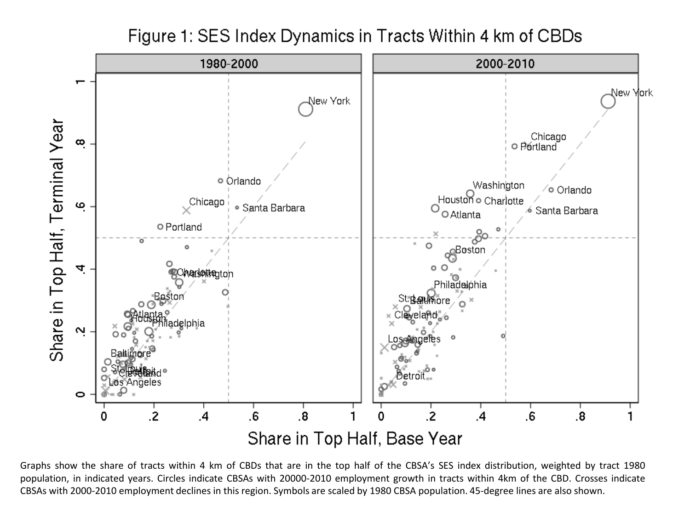Figure 1: SES Index Dynamics in Tracts Within 4 km of CBDs



Graphs show the share of tracts within 4 km of CBDs that are in the top half of the CBSA's SES index distribution, weighted by tract 1980 population, in indicated years. Circles indicate CBSAs with 20000-2010 employment growth in tracts within 4km of the CBD. Crosses indicate CBSAs with 2000-2010 employment declines in this region. Symbols are scaled by 1980 CBSA population. 45-degree lines are also shown.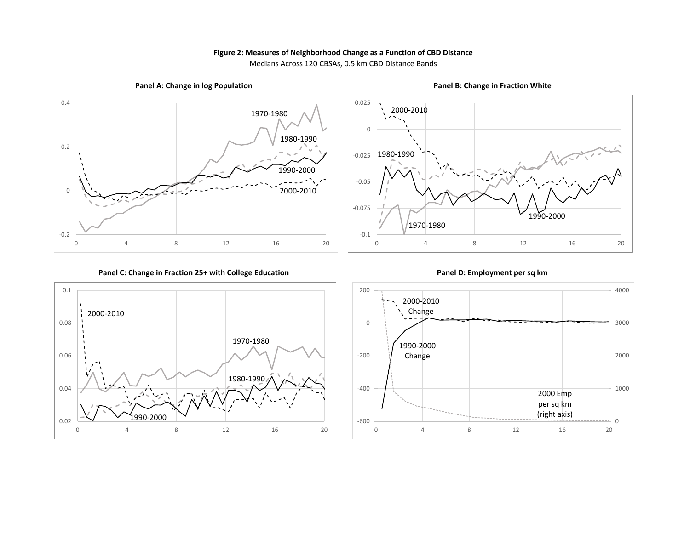#### **Figure 2: Measures of Neighborhood Change as a Function of CBD Distance**

Medians Across 120 CBSAs, 0.5 km CBD Distance Bands



**Panel A: Change in log Population**







**Panel B: Change in Fraction White**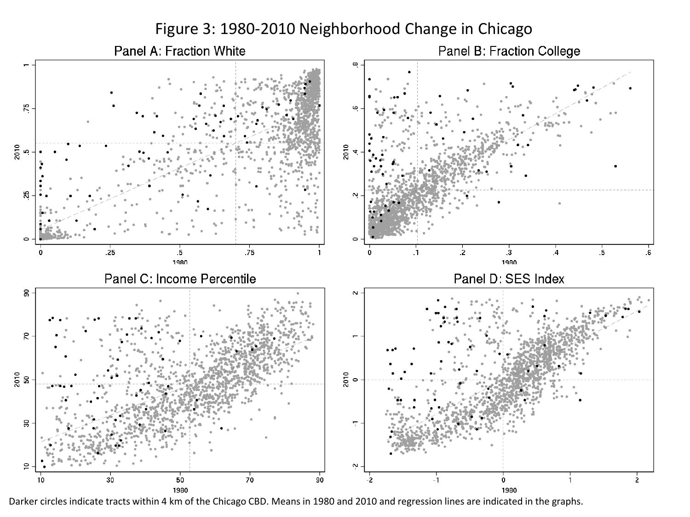Figure 3: 1980-2010 Neighborhood Change in Chicago



Darker circles indicate tracts within 4 km of the Chicago CBD. Means in 1980 and 2010 and regression lines are indicated in the graphs.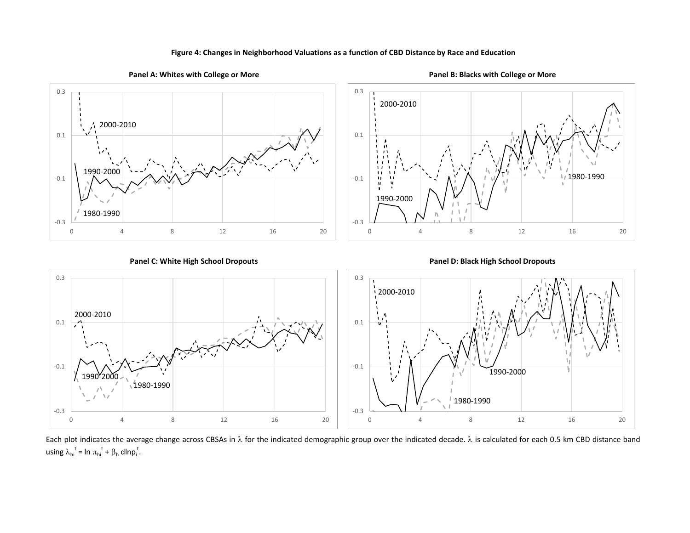



Each plot indicates the average change across CBSAs in  $\lambda$  for the indicated demographic group over the indicated decade.  $\lambda$  is calculated for each 0.5 km CBD distance band using  $\lambda_{hi}^t = \ln \pi_{hi}^t + \beta_h \, \text{d} \ln p_i^t$ .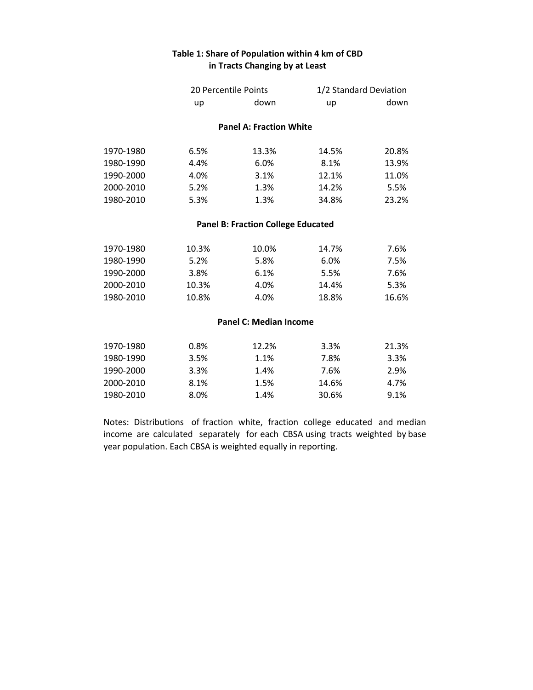#### **Table 1: Share of Population within 4 km of CBD in Tracts Changing by at Least**

|           | 20 Percentile Points |                                           | 1/2 Standard Deviation |       |
|-----------|----------------------|-------------------------------------------|------------------------|-------|
|           | up                   | down                                      | up                     | down  |
|           |                      | <b>Panel A: Fraction White</b>            |                        |       |
| 1970-1980 | 6.5%                 | 13.3%                                     | 14.5%                  | 20.8% |
| 1980-1990 | 4.4%                 | 6.0%                                      | 8.1%                   | 13.9% |
| 1990-2000 | 4.0%                 | 3.1%                                      | 12.1%                  | 11.0% |
| 2000-2010 | 5.2%                 | 1.3%                                      | 14.2%                  | 5.5%  |
| 1980-2010 | 5.3%                 | 1.3%                                      | 34.8%                  | 23.2% |
|           |                      | <b>Panel B: Fraction College Educated</b> |                        |       |
| 1970-1980 | 10.3%                | 10.0%                                     | 14.7%                  | 7.6%  |
| 1980-1990 | 5.2%                 | 5.8%                                      | 6.0%                   | 7.5%  |
| 1990-2000 | 3.8%                 | 6.1%                                      | 5.5%                   | 7.6%  |
| 2000-2010 | 10.3%                | 4.0%                                      | 14.4%                  | 5.3%  |
| 1980-2010 | 10.8%                | 4.0%                                      | 18.8%                  | 16.6% |
|           |                      | <b>Panel C: Median Income</b>             |                        |       |
| 1970-1980 | 0.8%                 | 12.2%                                     | 3.3%                   | 21.3% |
| 1980-1990 | 3.5%                 | 1.1%                                      | 7.8%                   | 3.3%  |

Notes: Distributions of fraction white, fraction college educated and median income are calculated separately for each CBSA using tracts weighted by base year population. Each CBSA is weighted equally in reporting.

1990‐2000 3.3% 1.4% 7.6% 2.9% 2000‐2010 8.1% 1.5% 14.6% 4.7% 1980‐2010 8.0% 1.4% 30.6% 9.1%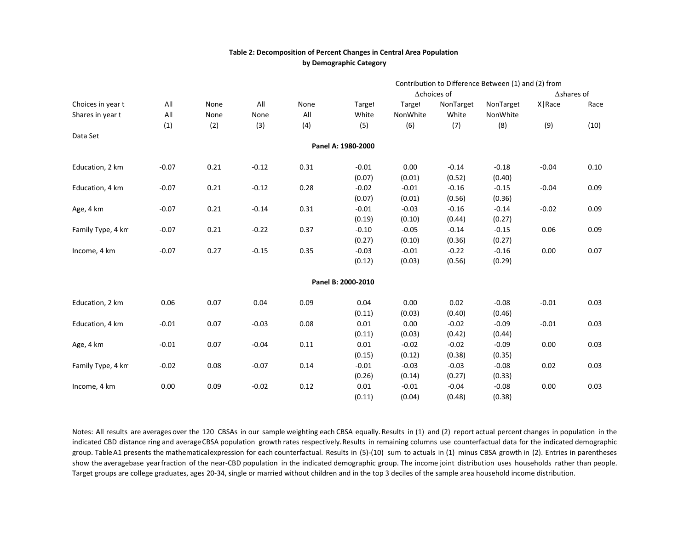#### **Table 2: Decomposition of Percent Changes in Central Area Population by Demographic Category**

|                   |         |      |         |      | Contribution to Difference Between (1) and (2) from |                     |           |           |                    |      |  |
|-------------------|---------|------|---------|------|-----------------------------------------------------|---------------------|-----------|-----------|--------------------|------|--|
|                   |         |      |         |      |                                                     | $\Delta$ choices of |           |           | $\Delta$ shares of |      |  |
| Choices in year t | All     | None | All     | None | Target                                              | Target              | NonTarget | NonTarget | X Race             | Race |  |
| Shares in year t  | All     | None | None    | All  | White                                               | NonWhite            | White     | NonWhite  |                    |      |  |
|                   | (1)     | (2)  | (3)     | (4)  | (5)                                                 | (6)                 | (7)       | (8)       | (9)                | (10) |  |
| Data Set          |         |      |         |      |                                                     |                     |           |           |                    |      |  |
|                   |         |      |         |      | Panel A: 1980-2000                                  |                     |           |           |                    |      |  |
| Education, 2 km   | $-0.07$ | 0.21 | $-0.12$ | 0.31 | $-0.01$                                             | 0.00                | $-0.14$   | $-0.18$   | $-0.04$            | 0.10 |  |
|                   |         |      |         |      | (0.07)                                              | (0.01)              | (0.52)    | (0.40)    |                    |      |  |
| Education, 4 km   | $-0.07$ | 0.21 | $-0.12$ | 0.28 | $-0.02$                                             | $-0.01$             | $-0.16$   | $-0.15$   | $-0.04$            | 0.09 |  |
|                   |         |      |         |      | (0.07)                                              | (0.01)              | (0.56)    | (0.36)    |                    |      |  |
| Age, 4 km         | $-0.07$ | 0.21 | $-0.14$ | 0.31 | $-0.01$                                             | $-0.03$             | $-0.16$   | $-0.14$   | $-0.02$            | 0.09 |  |
|                   |         |      |         |      | (0.19)                                              | (0.10)              | (0.44)    | (0.27)    |                    |      |  |
| Family Type, 4 km | $-0.07$ | 0.21 | $-0.22$ | 0.37 | $-0.10$                                             | $-0.05$             | $-0.14$   | $-0.15$   | 0.06               | 0.09 |  |
|                   |         |      |         |      | (0.27)                                              | (0.10)              | (0.36)    | (0.27)    |                    |      |  |
| Income, 4 km      | $-0.07$ | 0.27 | $-0.15$ | 0.35 | $-0.03$                                             | $-0.01$             | $-0.22$   | $-0.16$   | 0.00               | 0.07 |  |
|                   |         |      |         |      | (0.12)                                              | (0.03)              | (0.56)    | (0.29)    |                    |      |  |
|                   |         |      |         |      | Panel B: 2000-2010                                  |                     |           |           |                    |      |  |
|                   |         |      |         |      |                                                     |                     |           |           |                    |      |  |
| Education, 2 km   | 0.06    | 0.07 | 0.04    | 0.09 | 0.04                                                | 0.00                | 0.02      | $-0.08$   | $-0.01$            | 0.03 |  |
|                   |         |      |         |      | (0.11)                                              | (0.03)              | (0.40)    | (0.46)    |                    |      |  |
| Education, 4 km   | $-0.01$ | 0.07 | $-0.03$ | 0.08 | 0.01                                                | 0.00                | $-0.02$   | $-0.09$   | $-0.01$            | 0.03 |  |
|                   |         |      |         |      | (0.11)                                              | (0.03)              | (0.42)    | (0.44)    |                    |      |  |
| Age, 4 km         | $-0.01$ | 0.07 | $-0.04$ | 0.11 | 0.01                                                | $-0.02$             | $-0.02$   | $-0.09$   | 0.00               | 0.03 |  |
|                   |         |      |         |      | (0.15)                                              | (0.12)              | (0.38)    | (0.35)    |                    |      |  |
| Family Type, 4 km | $-0.02$ | 0.08 | $-0.07$ | 0.14 | $-0.01$                                             | $-0.03$             | $-0.03$   | $-0.08$   | 0.02               | 0.03 |  |
|                   |         |      |         |      | (0.26)                                              | (0.14)              | (0.27)    | (0.33)    |                    |      |  |
| Income, 4 km      | 0.00    | 0.09 | $-0.02$ | 0.12 | 0.01                                                | $-0.01$             | $-0.04$   | $-0.08$   | 0.00               | 0.03 |  |
|                   |         |      |         |      | (0.11)                                              | (0.04)              | (0.48)    | (0.38)    |                    |      |  |

Notes: All results are averages over the 120 CBSAs in our sample weighting each CBSA equally. Results in (1) and (2) report actual percent changes in population in the indicated CBD distance ring and average CBSA population growth rates respectively.Results in remaining columns use counterfactual data for the indicated demographic group. TableA1 presents the mathematicalexpression for each counterfactual. Results in (5)-(10) sum to actuals in (1) minus CBSA growth in (2). Entries in parentheses show the averagebase year fraction of the near-CBD population in the indicated demographic group. The income joint distribution uses households rather than people. Target groups are college graduates, ages 20‐34, single or married without children and in the top 3 deciles of the sample area household income distribution.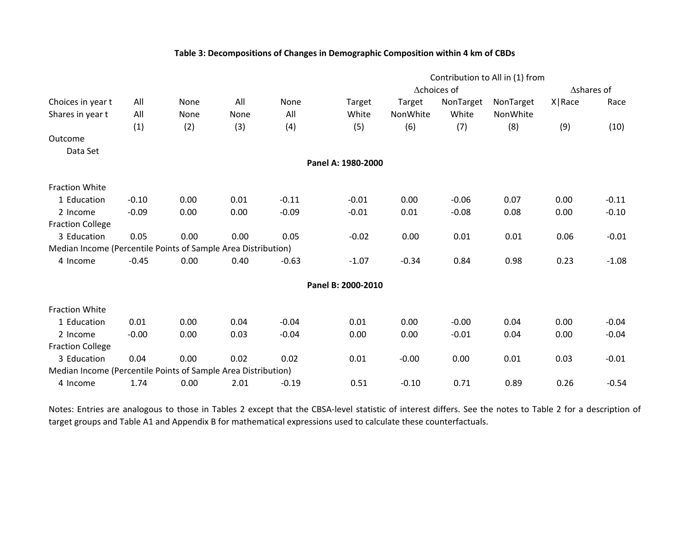#### **Table 3: Decompositions of Changes in Demographic Composition within 4 km of CBDs**

|                                                               |         |      |      |         | Contribution to All in (1) from |          |             |           |                    |         |
|---------------------------------------------------------------|---------|------|------|---------|---------------------------------|----------|-------------|-----------|--------------------|---------|
|                                                               |         |      |      |         |                                 |          | ∆choices of |           | $\Delta$ shares of |         |
| Choices in year t                                             | All     | None | All  | None    | Target                          | Target   | NonTarget   | NonTarget | X   Race           | Race    |
| Shares in year t                                              | All     | None | None | All     | White                           | NonWhite | White       | NonWhite  |                    |         |
|                                                               | (1)     | (2)  | (3)  | (4)     | (5)                             | (6)      | (7)         | (8)       | (9)                | (10)    |
| Outcome                                                       |         |      |      |         |                                 |          |             |           |                    |         |
| Data Set                                                      |         |      |      |         |                                 |          |             |           |                    |         |
|                                                               |         |      |      |         | Panel A: 1980-2000              |          |             |           |                    |         |
| <b>Fraction White</b>                                         |         |      |      |         |                                 |          |             |           |                    |         |
| 1 Education                                                   | $-0.10$ | 0.00 | 0.01 | $-0.11$ | $-0.01$                         | 0.00     | $-0.06$     | 0.07      | 0.00               | $-0.11$ |
| 2 Income                                                      | $-0.09$ | 0.00 | 0.00 | $-0.09$ | $-0.01$                         | 0.01     | $-0.08$     | 0.08      | 0.00               | $-0.10$ |
| <b>Fraction College</b>                                       |         |      |      |         |                                 |          |             |           |                    |         |
| 3 Education                                                   | 0.05    | 0.00 | 0.00 | 0.05    | $-0.02$                         | 0.00     | 0.01        | 0.01      | 0.06               | $-0.01$ |
| Median Income (Percentile Points of Sample Area Distribution) |         |      |      |         |                                 |          |             |           |                    |         |
| 4 Income                                                      | $-0.45$ | 0.00 | 0.40 | $-0.63$ | $-1.07$                         | $-0.34$  | 0.84        | 0.98      | 0.23               | $-1.08$ |
|                                                               |         |      |      |         | Panel B: 2000-2010              |          |             |           |                    |         |
| <b>Fraction White</b>                                         |         |      |      |         |                                 |          |             |           |                    |         |
| 1 Education                                                   | 0.01    | 0.00 | 0.04 | $-0.04$ | 0.01                            | 0.00     | $-0.00$     | 0.04      | 0.00               | $-0.04$ |
| 2 Income                                                      | $-0.00$ | 0.00 | 0.03 | $-0.04$ | 0.00                            | 0.00     | $-0.01$     | 0.04      | 0.00               | $-0.04$ |
| <b>Fraction College</b>                                       |         |      |      |         |                                 |          |             |           |                    |         |
| 3 Education                                                   | 0.04    | 0.00 | 0.02 | 0.02    | 0.01                            | $-0.00$  | 0.00        | 0.01      | 0.03               | $-0.01$ |
| Median Income (Percentile Points of Sample Area Distribution) |         |      |      |         |                                 |          |             |           |                    |         |
| 4 Income                                                      | 1.74    | 0.00 | 2.01 | $-0.19$ | 0.51                            | $-0.10$  | 0.71        | 0.89      | 0.26               | $-0.54$ |

Notes: Entries are analogous to those in Tables 2 except that the CBSA‐level statistic of interest differs. See the notes to Table 2 for <sup>a</sup> description of target groups and Table A1 and Appendix B for mathematical expressions used to calculate these counterfactuals.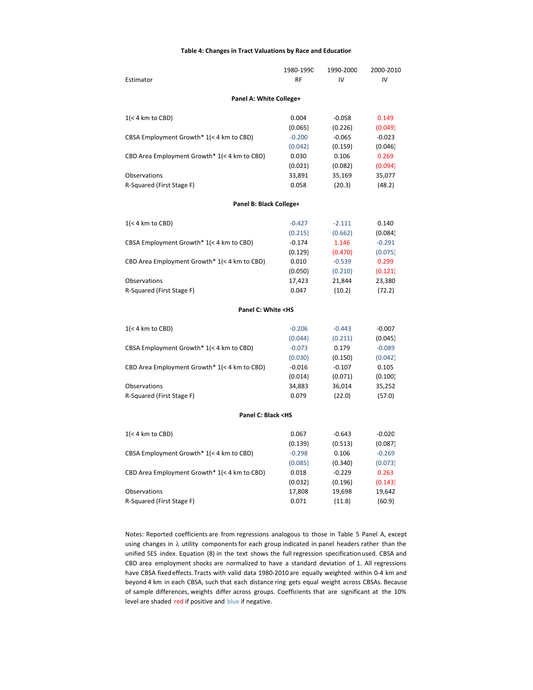#### **Table 4: Changes in Tract Valuations by Race and Education**

|                                                             | 1980-1990 | 1990-2000 | 2000-2010 |
|-------------------------------------------------------------|-----------|-----------|-----------|
| Estimator                                                   | <b>RF</b> | IV        | IV        |
|                                                             |           |           |           |
| Panel A: White College+                                     |           |           |           |
| $1(< 4$ km to CBD)                                          | 0.004     | $-0.058$  | 0.149     |
|                                                             | (0.065)   | (0.226)   | (0.049)   |
| CBSA Employment Growth* 1(< 4 km to CBD)                    | $-0.200$  | $-0.065$  | $-0.023$  |
|                                                             | (0.042)   | (0.159)   | (0.046)   |
| CBD Area Employment Growth* 1(< 4 km to CBD)                | 0.030     | 0.106     | 0.269     |
|                                                             | (0.021)   | (0.082)   | (0.094)   |
| Observations                                                | 33,891    | 35,169    | 35,077    |
| R-Squared (First Stage F)                                   | 0.058     | (20.3)    | (48.2)    |
| Panel B: Black College+                                     |           |           |           |
|                                                             |           |           |           |
| $1(< 4$ km to CBD)                                          | $-0.427$  | $-2.111$  | 0.140     |
|                                                             | (0.215)   | (0.662)   | (0.084)   |
| CBSA Employment Growth* 1(< 4 km to CBD)                    | $-0.174$  | 1.146     | $-0.291$  |
|                                                             | (0.129)   | (0.470)   | (0.075)   |
| CBD Area Employment Growth* 1(< 4 km to CBD)                | 0.010     | $-0.539$  | 0.299     |
|                                                             | (0.050)   | (0.210)   | (0.121)   |
| Observations                                                | 17,423    | 21,844    | 23,380    |
| R-Squared (First Stage F)                                   | 0.047     | (10.2)    | (72.2)    |
| Panel C: White <hs< td=""><td></td><td></td><td></td></hs<> |           |           |           |
| $1(< 4 \text{ km to CBD})$                                  | $-0.206$  | $-0.443$  | $-0.007$  |
|                                                             | (0.044)   | (0.211)   | (0.045)   |
| CBSA Employment Growth* 1(< 4 km to CBD)                    | $-0.073$  | 0.179     | $-0.089$  |
|                                                             | (0.030)   | (0.150)   | (0.042)   |
| CBD Area Employment Growth* 1(< 4 km to CBD)                | $-0.016$  | $-0.107$  | 0.105     |
|                                                             | (0.014)   | (0.071)   | (0.100)   |
| Observations                                                | 34,883    | 36,014    | 35,252    |
| R-Squared (First Stage F)                                   | 0.079     | (22.0)    | (57.0)    |
|                                                             |           |           |           |
| Panel C: Black <hs< td=""><td></td><td></td><td></td></hs<> |           |           |           |
| $1(< 4$ km to CBD)                                          | 0.067     | $-0.643$  | $-0.020$  |
|                                                             | (0.139)   | (0.513)   | (0.087)   |
| CBSA Employment Growth* 1(< 4 km to CBD)                    | $-0.298$  | 0.106     | $-0.269$  |
|                                                             | (0.085)   | (0.340)   | (0.073)   |
| CBD Area Employment Growth* 1(< 4 km to CBD)                | 0.018     | $-0.229$  | 0.263     |
|                                                             | (0.032)   | (0.196)   | (0.143)   |
| Observations                                                | 17,808    | 19,698    | 19,642    |
| R-Squared (First Stage F)                                   | 0.071     | (11.8)    | (60.9)    |

Notes: Reported coefficients are from regressions analogous to those in Table 5 Panel A, except using changes in  $\lambda$  utility components for each group indicated in panel headers rather than the unified SES index. Equation (8) in the text shows the full regression specification used. CBSA and CBD area employment shocks are normalized to have a standard deviation of 1. All regressions have CBSA fixed effects. Tracts with valid data 1980-2010 are equally weighted within 0-4 km and beyond 4 km in each CBSA, such that each distance ring gets equal weight across CBSAs. Because of sample differences, weights differ across groups. Coefficients that are significant at the 10% level are shaded red if positive and blue if negative.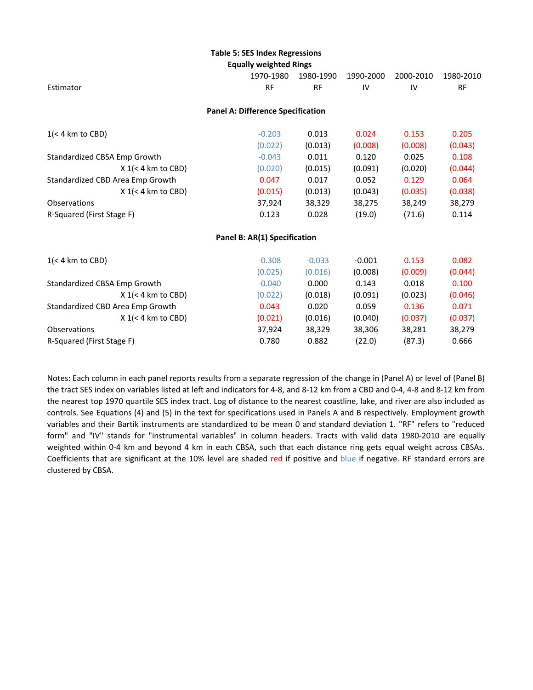#### **Table 5: SES Index Regressions**

|  | <b>Equally weighted Rings</b> |  |
|--|-------------------------------|--|
|--|-------------------------------|--|

|                                  | Lyually waighten miligs                  |           |           |           |           |
|----------------------------------|------------------------------------------|-----------|-----------|-----------|-----------|
|                                  | 1970-1980                                | 1980-1990 | 1990-2000 | 2000-2010 | 1980-2010 |
| Estimator                        | <b>RF</b>                                | <b>RF</b> | IV        | IV        | <b>RF</b> |
|                                  | <b>Panel A: Difference Specification</b> |           |           |           |           |
| $1(< 4$ km to CBD)               | $-0.203$                                 | 0.013     | 0.024     | 0.153     | 0.205     |
|                                  | (0.022)                                  | (0.013)   | (0.008)   | (0.008)   | (0.043)   |
| Standardized CBSA Emp Growth     | $-0.043$                                 | 0.011     | 0.120     | 0.025     | 0.108     |
| $X$ 1(< 4 km to CBD)             | (0.020)                                  | (0.015)   | (0.091)   | (0.020)   | (0.044)   |
| Standardized CBD Area Emp Growth | 0.047                                    | 0.017     | 0.052     | 0.129     | 0.064     |
| $X$ 1(< 4 km to CBD)             | (0.015)                                  | (0.013)   | (0.043)   | (0.035)   | (0.038)   |
| <b>Observations</b>              | 37,924                                   | 38,329    | 38,275    | 38,249    | 38,279    |
| R-Squared (First Stage F)        | 0.123                                    | 0.028     | (19.0)    | (71.6)    | 0.114     |
|                                  | Panel B: AR(1) Specification             |           |           |           |           |
| $1(< 4$ km to CBD)               | $-0.308$                                 | $-0.033$  | $-0.001$  | 0.153     | 0.082     |
|                                  | (0.025)                                  | (0.016)   | (0.008)   | (0.009)   | (0.044)   |
| Standardized CBSA Emp Growth     | $-0.040$                                 | 0.000     | 0.143     | 0.018     | 0.100     |
| $X$ 1(< 4 km to CBD)             | (0.022)                                  | (0.018)   | (0.091)   | (0.023)   | (0.046)   |
| Standardized CBD Area Emp Growth | 0.043                                    | 0.020     | 0.059     | 0.136     | 0.071     |
| $X$ 1(< 4 km to CBD)             | (0.021)                                  | (0.016)   | (0.040)   | (0.037)   | (0.037)   |
| Observations                     | 37,924                                   | 38,329    | 38,306    | 38,281    | 38,279    |
| R-Squared (First Stage F)        | 0.780                                    | 0.882     | (22.0)    | (87.3)    | 0.666     |
|                                  |                                          |           |           |           |           |

Notes: Each column in each panel reports results from a separate regression of the change in (Panel A) or level of (Panel B) the tract SES index on variables listed at left and indicators for 4‐8, and 8‐12 km from a CBD and 0‐4, 4‐8 and 8‐12 km from the nearest top 1970 quartile SES index tract. Log of distance to the nearest coastline, lake, and river are also included as controls. See Equations (4) and (5) in the text for specifications used in Panels A and B respectively. Employment growth variables and their Bartik instruments are standardized to be mean 0 and standard deviation 1. "RF" refers to "reduced form" and "IV" stands for "instrumental variables" in column headers. Tracts with valid data 1980‐2010 are equally weighted within 0-4 km and beyond 4 km in each CBSA, such that each distance ring gets equal weight across CBSAs. Coefficients that are significant at the 10% level are shaded red if positive and blue if negative. RF standard errors are clustered by CBSA.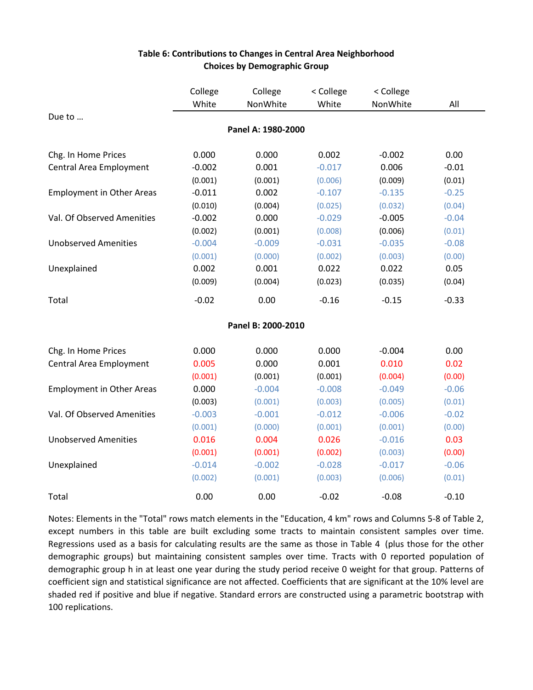|                                  | College  | College            | < College | < College |         |
|----------------------------------|----------|--------------------|-----------|-----------|---------|
|                                  | White    | NonWhite           | White     | NonWhite  | All     |
| Due to                           |          |                    |           |           |         |
|                                  |          | Panel A: 1980-2000 |           |           |         |
| Chg. In Home Prices              | 0.000    | 0.000              | 0.002     | $-0.002$  | 0.00    |
| Central Area Employment          | $-0.002$ | 0.001              | $-0.017$  | 0.006     | $-0.01$ |
|                                  | (0.001)  | (0.001)            | (0.006)   | (0.009)   | (0.01)  |
| <b>Employment in Other Areas</b> | $-0.011$ | 0.002              | $-0.107$  | $-0.135$  | $-0.25$ |
|                                  | (0.010)  | (0.004)            | (0.025)   | (0.032)   | (0.04)  |
| Val. Of Observed Amenities       | $-0.002$ | 0.000              | $-0.029$  | $-0.005$  | $-0.04$ |
|                                  | (0.002)  | (0.001)            | (0.008)   | (0.006)   | (0.01)  |
| <b>Unobserved Amenities</b>      | $-0.004$ | $-0.009$           | $-0.031$  | $-0.035$  | $-0.08$ |
|                                  | (0.001)  | (0.000)            | (0.002)   | (0.003)   | (0.00)  |
| Unexplained                      | 0.002    | 0.001              | 0.022     | 0.022     | 0.05    |
|                                  | (0.009)  | (0.004)            | (0.023)   | (0.035)   | (0.04)  |
| Total                            | $-0.02$  | 0.00               | $-0.16$   | $-0.15$   | $-0.33$ |
|                                  |          | Panel B: 2000-2010 |           |           |         |
| Chg. In Home Prices              | 0.000    | 0.000              | 0.000     | $-0.004$  | 0.00    |
| Central Area Employment          | 0.005    | 0.000              | 0.001     | 0.010     | 0.02    |
|                                  | (0.001)  | (0.001)            | (0.001)   | (0.004)   | (0.00)  |
| <b>Employment in Other Areas</b> | 0.000    | $-0.004$           | $-0.008$  | $-0.049$  | $-0.06$ |
|                                  | (0.003)  | (0.001)            | (0.003)   | (0.005)   | (0.01)  |
| Val. Of Observed Amenities       | $-0.003$ | $-0.001$           | $-0.012$  | $-0.006$  | $-0.02$ |
|                                  | (0.001)  | (0.000)            | (0.001)   | (0.001)   | (0.00)  |
| <b>Unobserved Amenities</b>      | 0.016    | 0.004              | 0.026     | $-0.016$  | 0.03    |
|                                  | (0.001)  | (0.001)            | (0.002)   | (0.003)   | (0.00)  |
| Unexplained                      | $-0.014$ | $-0.002$           | $-0.028$  | $-0.017$  | $-0.06$ |
|                                  | (0.002)  | (0.001)            | (0.003)   | (0.006)   | (0.01)  |
| Total                            | 0.00     | 0.00               | $-0.02$   | $-0.08$   | $-0.10$ |

#### **Table 6: Contributions to Changes in Central Area Neighborhood Choices by Demographic Group**

Notes: Elements in the "Total" rows match elements in the "Education, 4 km" rows and Columns 5-8 of Table 2, except numbers in this table are built excluding some tracts to maintain consistent samples over time. Regressions used as a basis for calculating results are the same as those in Table 4 (plus those for the other demographic groups) but maintaining consistent samples over time. Tracts with 0 reported population of demographic group h in at least one year during the study period receive 0 weight for that group. Patterns of coefficient sign and statistical significance are not affected. Coefficients that are significant at the 10% level are shaded red if positive and blue if negative. Standard errors are constructed using a parametric bootstrap with 100 replications.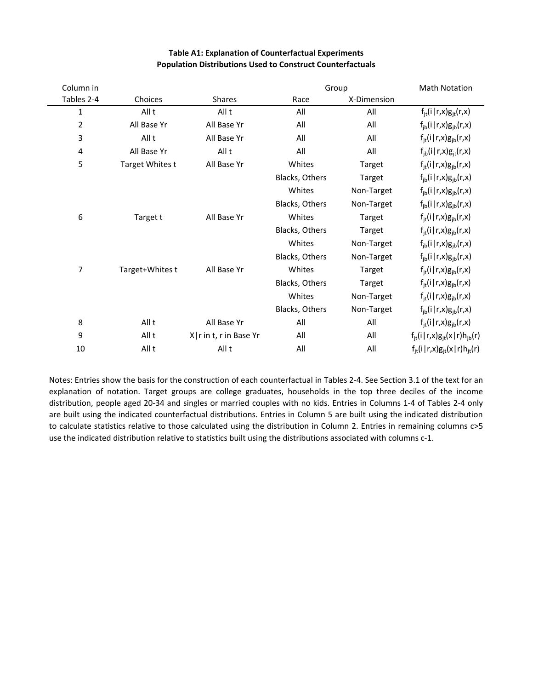| Column in      |                 |                          | Group          |             | <b>Math Notation</b>                     |
|----------------|-----------------|--------------------------|----------------|-------------|------------------------------------------|
| Tables 2-4     | Choices         | <b>Shares</b>            | Race           | X-Dimension |                                          |
| $\mathbf 1$    | All t           | All t                    | All            | All         | $f_{it}(i   r, x)g_{it}(r, x)$           |
| $\overline{2}$ | All Base Yr     | All Base Yr              | All            | All         | $f_{ib}(i   r, x)g_{ib}(r, x)$           |
| 3              | All t           | All Base Yr              | All            | All         | $f_{it}(i   r, x)g_{ib}(r, x)$           |
| 4              | All Base Yr     | All t                    | All            | All         | $f_{ib}(i   r, x)g_{it}(r, x)$           |
| 5              | Target Whites t | All Base Yr              | Whites         | Target      | $f_{it}(i   r, x)g_{ib}(r, x)$           |
|                |                 |                          | Blacks, Others | Target      | $f_{ib}(i   r, x)g_{ib}(r, x)$           |
|                |                 |                          | Whites         | Non-Target  | $f_{ib}(i   r, x)g_{ib}(r, x)$           |
|                |                 |                          | Blacks, Others | Non-Target  | $f_{ib}(i   r, x) g_{ib}(r, x)$          |
| 6              | Target t        | All Base Yr              | Whites         | Target      | $f_{it}(i   r, x)g_{ib}(r, x)$           |
|                |                 |                          | Blacks, Others | Target      | $f_{it}(i   r, x)g_{ib}(r, x)$           |
|                |                 |                          | Whites         | Non-Target  | $f_{ib}(i   r, x)g_{ib}(r, x)$           |
|                |                 |                          | Blacks, Others | Non-Target  | $f_{ib}(i   r, x)g_{ib}(r, x)$           |
| 7              | Target+Whites t | All Base Yr              | Whites         | Target      | $f_{it}(i   r, x)g_{ib}(r, x)$           |
|                |                 |                          | Blacks, Others | Target      | $f_{it}(i   r, x)g_{ib}(r, x)$           |
|                |                 |                          | Whites         | Non-Target  | $f_{it}(i   r, x)g_{ib}(r, x)$           |
|                |                 |                          | Blacks, Others | Non-Target  | $f_{ib}(i   r, x)g_{ib}(r, x)$           |
| 8              | All t           | All Base Yr              | All            | All         | $f_{it}(i   r, x)g_{ib}(r, x)$           |
| 9              | All t           | X   r in t, r in Base Yr | All            | All         | $f_{it}(i   r, x)g_{it}(x   r)h_{ib}(r)$ |
| 10             | All t           | All t                    | All            | All         | $f_{it}(i   r, x)g_{it}(x   r)h_{it}(r)$ |

#### **Table A1: Explanation of Counterfactual Experiments Population Distributions Used to Construct Counterfactuals**

Notes: Entries show the basis for the construction of each counterfactual in Tables 2‐4. See Section 3.1 of the text for an explanation of notation. Target groups are college graduates, households in the top three deciles of the income distribution, people aged 20‐34 and singles or married couples with no kids. Entries in Columns 1‐4 of Tables 2‐4 only are built using the indicated counterfactual distributions. Entries in Column 5 are built using the indicated distribution to calculate statistics relative to those calculated using the distribution in Column 2. Entries in remaining columns c>5 use the indicated distribution relative to statistics built using the distributions associated with columns c‐1.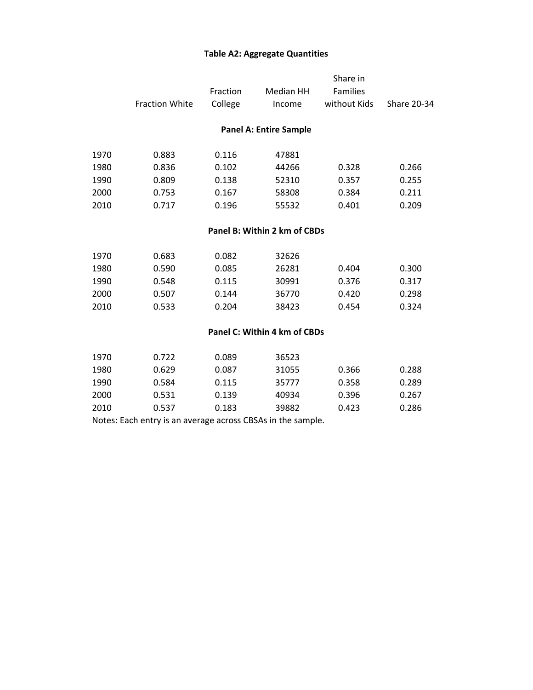#### **Table A2: Aggregate Quantities**

|      | <b>Fraction White</b>         | Fraction<br>College | Median HH<br>Income          | Share in<br>Families<br>without Kids | <b>Share 20-34</b> |  |  |  |  |  |  |
|------|-------------------------------|---------------------|------------------------------|--------------------------------------|--------------------|--|--|--|--|--|--|
|      | <b>Panel A: Entire Sample</b> |                     |                              |                                      |                    |  |  |  |  |  |  |
| 1970 | 0.883                         | 0.116               | 47881                        |                                      |                    |  |  |  |  |  |  |
| 1980 | 0.836                         | 0.102               | 44266                        | 0.328                                | 0.266              |  |  |  |  |  |  |
| 1990 | 0.809                         | 0.138               | 52310                        | 0.357                                | 0.255              |  |  |  |  |  |  |
| 2000 | 0.753                         | 0.167               | 58308                        | 0.384                                | 0.211              |  |  |  |  |  |  |
| 2010 | 0.717                         | 0.196               | 55532                        | 0.401                                | 0.209              |  |  |  |  |  |  |
|      |                               |                     | Panel B: Within 2 km of CBDs |                                      |                    |  |  |  |  |  |  |
| 1970 | 0.683                         | 0.082               | 32626                        |                                      |                    |  |  |  |  |  |  |
| 1980 | 0.590                         | 0.085               | 26281                        | 0.404                                | 0.300              |  |  |  |  |  |  |
| 1990 | 0.548                         | 0.115               | 30991                        | 0.376                                | 0.317              |  |  |  |  |  |  |
| 2000 | 0.507                         | 0.144               | 36770                        | 0.420                                | 0.298              |  |  |  |  |  |  |
| 2010 | 0.533                         | 0.204               | 38423                        | 0.454                                | 0.324              |  |  |  |  |  |  |
|      | Panel C: Within 4 km of CBDs  |                     |                              |                                      |                    |  |  |  |  |  |  |
| 1970 | በ 722                         | <u>በ በՋዓ</u>        | 36523                        |                                      |                    |  |  |  |  |  |  |

| 1970 | 0.722 | 0.089 | 36523 |       |       |
|------|-------|-------|-------|-------|-------|
| 1980 | 0.629 | 0.087 | 31055 | 0.366 | 0.288 |
| 1990 | 0.584 | 0.115 | 35777 | 0.358 | 0.289 |
| 2000 | 0.531 | 0.139 | 40934 | 0.396 | 0.267 |
| 2010 | 0.537 | 0.183 | 39882 | 0.423 | 0.286 |
|      |       |       |       |       |       |

Notes: Each entry is an average across CBSAs in the sample.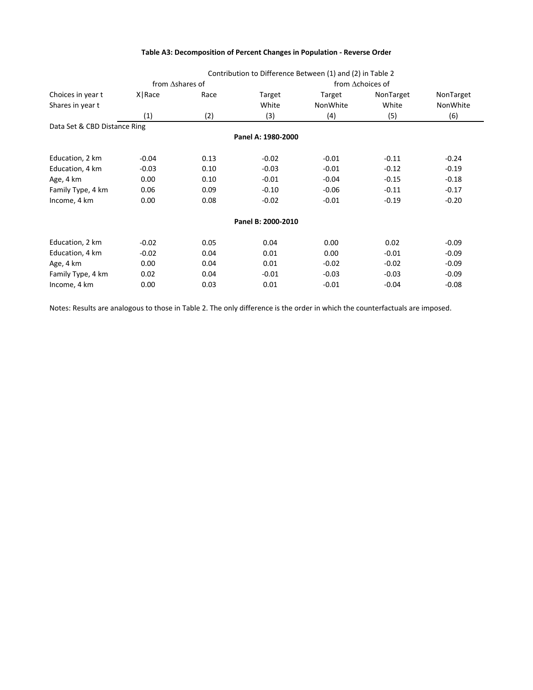|                              |                         |      |                    | Contribution to Difference Between (1) and (2) in Table 2 |                  |           |
|------------------------------|-------------------------|------|--------------------|-----------------------------------------------------------|------------------|-----------|
|                              | from $\Delta$ shares of |      |                    |                                                           | from Achoices of |           |
| Choices in year t            | X Race                  | Race | Target             | Target                                                    | NonTarget        | NonTarget |
| Shares in year t             |                         |      | White              | NonWhite                                                  | White            | NonWhite  |
|                              | (1)                     | (2)  | (3)                | (4)                                                       | (5)              | (6)       |
| Data Set & CBD Distance Ring |                         |      |                    |                                                           |                  |           |
|                              |                         |      | Panel A: 1980-2000 |                                                           |                  |           |
| Education, 2 km              | $-0.04$                 | 0.13 | $-0.02$            | $-0.01$                                                   | $-0.11$          | $-0.24$   |
| Education, 4 km              | $-0.03$                 | 0.10 | $-0.03$            | $-0.01$                                                   | $-0.12$          | $-0.19$   |
| Age, 4 km                    | 0.00                    | 0.10 | $-0.01$            | $-0.04$                                                   | $-0.15$          | $-0.18$   |
| Family Type, 4 km            | 0.06                    | 0.09 | $-0.10$            | $-0.06$                                                   | $-0.11$          | $-0.17$   |
| Income, 4 km                 | 0.00                    | 0.08 | $-0.02$            | $-0.01$                                                   | $-0.19$          | $-0.20$   |
|                              |                         |      | Panel B: 2000-2010 |                                                           |                  |           |
| Education, 2 km              | $-0.02$                 | 0.05 | 0.04               | 0.00                                                      | 0.02             | $-0.09$   |
| Education, 4 km              | $-0.02$                 | 0.04 | 0.01               | 0.00                                                      | $-0.01$          | $-0.09$   |
| Age, 4 km                    | 0.00                    | 0.04 | 0.01               | $-0.02$                                                   | $-0.02$          | $-0.09$   |
| Family Type, 4 km            | 0.02                    | 0.04 | $-0.01$            | $-0.03$                                                   | $-0.03$          | $-0.09$   |
| Income, 4 km                 | 0.00                    | 0.03 | 0.01               | $-0.01$                                                   | $-0.04$          | $-0.08$   |

Notes: Results are analogous to those in Table 2. The only difference is the order in which the counterfactuals are imposed.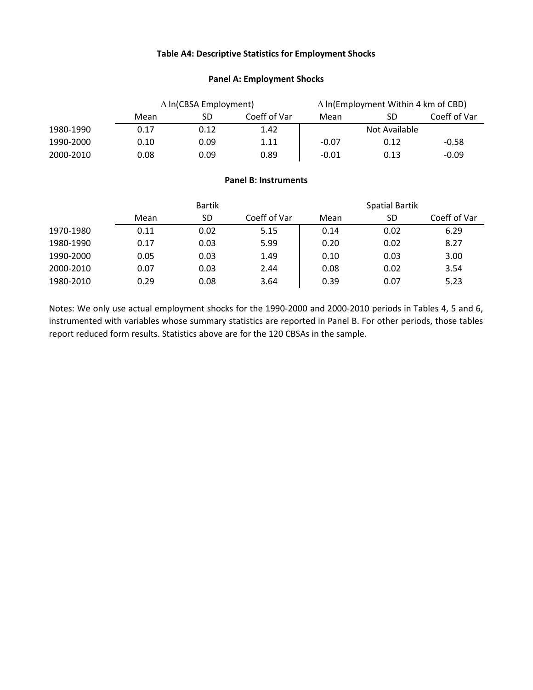#### **Table A4: Descriptive Statistics for Employment Shocks**

#### **Panel A: Employment Shocks**

|           | $\Delta$ In(CBSA Employment) |      |              | $\Delta$ In(Employment Within 4 km of CBD) |      |              |  |
|-----------|------------------------------|------|--------------|--------------------------------------------|------|--------------|--|
|           | Mean                         | SD   | Coeff of Var | Mean                                       | SD   | Coeff of Var |  |
| 1980-1990 | 0.17                         | 0.12 | 1.42         | Not Available                              |      |              |  |
| 1990-2000 | 0.10                         | 0.09 | 1.11         | $-0.07$                                    | 0.12 | $-0.58$      |  |
| 2000-2010 | 0.08                         | 0.09 | 0.89         | $-0.01$                                    | 0.13 | $-0.09$      |  |

#### **Panel B: Instruments**

|           | <b>Bartik</b> |      |              | <b>Spatial Bartik</b> |      |              |  |
|-----------|---------------|------|--------------|-----------------------|------|--------------|--|
|           | Mean          | SD   | Coeff of Var | Mean                  | SD   | Coeff of Var |  |
| 1970-1980 | 0.11          | 0.02 | 5.15         | 0.14                  | 0.02 | 6.29         |  |
| 1980-1990 | 0.17          | 0.03 | 5.99         | 0.20                  | 0.02 | 8.27         |  |
| 1990-2000 | 0.05          | 0.03 | 1.49         | 0.10                  | 0.03 | 3.00         |  |
| 2000-2010 | 0.07          | 0.03 | 2.44         | 0.08                  | 0.02 | 3.54         |  |
| 1980-2010 | 0.29          | 0.08 | 3.64         | 0.39                  | 0.07 | 5.23         |  |

Notes: We only use actual employment shocks for the 1990‐2000 and 2000‐2010 periods in Tables 4, 5 and 6, instrumented with variables whose summary statistics are reported in Panel B. For other periods, those tables report reduced form results. Statistics above are for the 120 CBSAs in the sample.